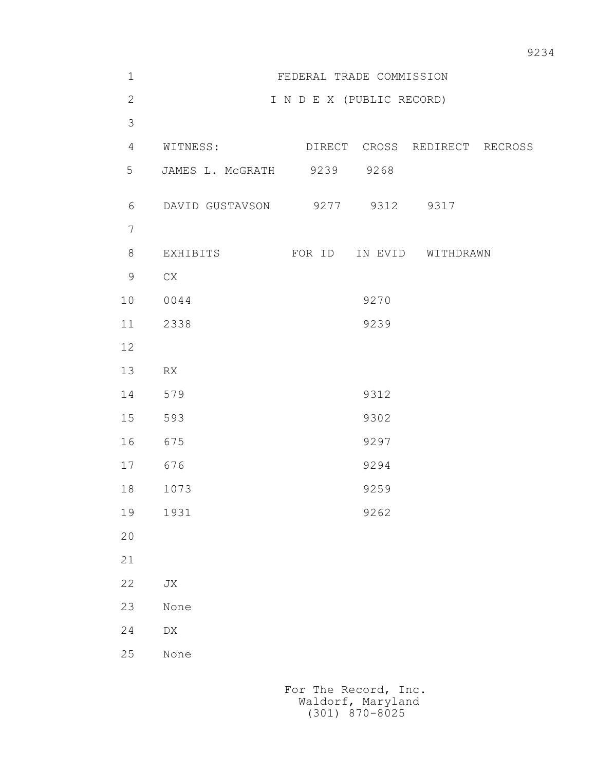| $1\,$          | FEDERAL TRADE COMMISSION       |  |                           |      |                                        |  |
|----------------|--------------------------------|--|---------------------------|------|----------------------------------------|--|
| $\overline{2}$ |                                |  | I N D E X (PUBLIC RECORD) |      |                                        |  |
| 3              |                                |  |                           |      |                                        |  |
| $\overline{4}$ |                                |  |                           |      | WITNESS: DIRECT CROSS REDIRECT RECROSS |  |
| 5              | JAMES L. MCGRATH 9239 9268     |  |                           |      |                                        |  |
| 6              | DAVID GUSTAVSON 9277 9312 9317 |  |                           |      |                                        |  |
| $\overline{7}$ |                                |  |                           |      |                                        |  |
| 8              |                                |  |                           |      | EXHIBITS FOR ID IN EVID WITHDRAWN      |  |
| 9              | CX                             |  |                           |      |                                        |  |
| 10             | 0044                           |  |                           | 9270 |                                        |  |
| 11             | 2338                           |  |                           | 9239 |                                        |  |
| 12             |                                |  |                           |      |                                        |  |
| 13             | RX                             |  |                           |      |                                        |  |
| 14             | 579                            |  |                           | 9312 |                                        |  |
| 15             | 593                            |  |                           | 9302 |                                        |  |
| 16             | 675                            |  |                           | 9297 |                                        |  |
| 17             | 676                            |  |                           | 9294 |                                        |  |
| 18             | 1073                           |  |                           | 9259 |                                        |  |
| 19             | 1931                           |  |                           | 9262 |                                        |  |
| $20$           |                                |  |                           |      |                                        |  |
| 21             |                                |  |                           |      |                                        |  |
| 22             | JX                             |  |                           |      |                                        |  |
| 23             | None                           |  |                           |      |                                        |  |
| 24             | ${\rm D}{\rm X}$               |  |                           |      |                                        |  |
| 25             | None                           |  |                           |      |                                        |  |
|                |                                |  |                           |      |                                        |  |
|                |                                |  |                           |      |                                        |  |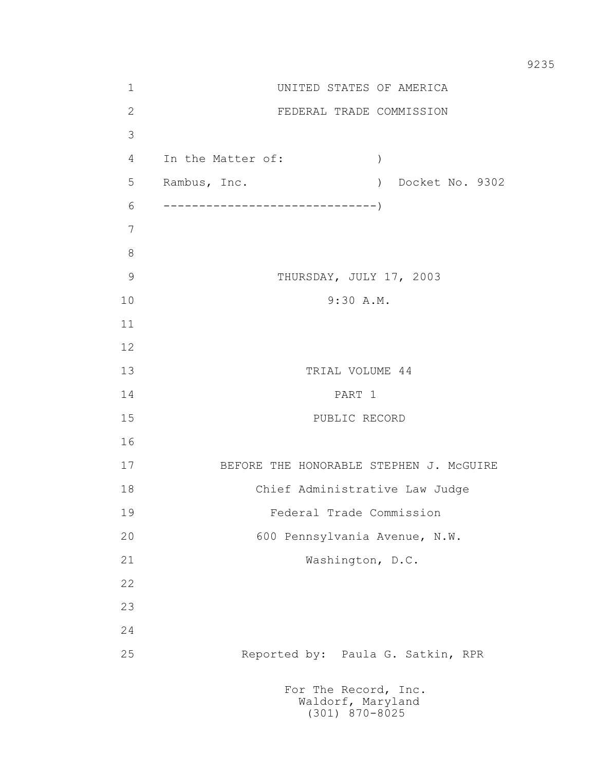1 UNITED STATES OF AMERICA 2 FEDERAL TRADE COMMISSION 3 4 In the Matter of: ) 5 Rambus, Inc. ) Docket No. 9302 6 ------------------------------) 7 8 9 THURSDAY, JULY 17, 2003 10 9:30 A.M. 11 12 13 TRIAL VOLUME 44 14 PART 1 15 PUBLIC RECORD 16 17 BEFORE THE HONORABLE STEPHEN J. McGUIRE 18 Chief Administrative Law Judge 19 Federal Trade Commission 20 600 Pennsylvania Avenue, N.W. 21 Washington, D.C. 22 23 24 25 Reported by: Paula G. Satkin, RPR For The Record, Inc. Waldorf, Maryland

(301) 870-8025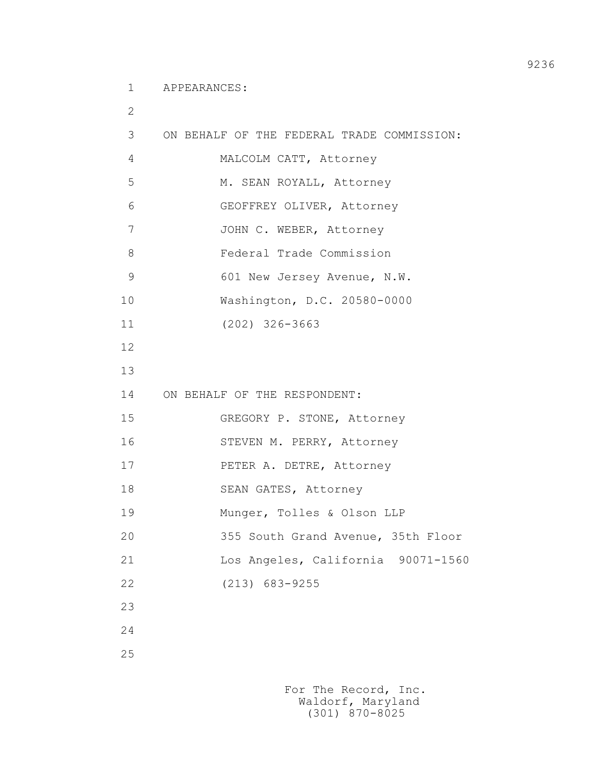1 APPEARANCES:

```
 2
         3 ON BEHALF OF THE FEDERAL TRADE COMMISSION: 
         4 MALCOLM CATT, Attorney
         5 M. SEAN ROYALL, Attorney
          6 GEOFFREY OLIVER, Attorney
        7 JOHN C. WEBER, Attorney
         8 Federal Trade Commission
         9 601 New Jersey Avenue, N.W.
         10 Washington, D.C. 20580-0000
         11 (202) 326-3663
         12
         13
         14 ON BEHALF OF THE RESPONDENT:
         15 GREGORY P. STONE, Attorney
         16 STEVEN M. PERRY, Attorney
        17 PETER A. DETRE, Attorney
        18 SEAN GATES, Attorney
         19 Munger, Tolles & Olson LLP
         20 355 South Grand Avenue, 35th Floor
         21 Los Angeles, California 90071-1560
         22 (213) 683-9255
         23
         24
         25
```
9236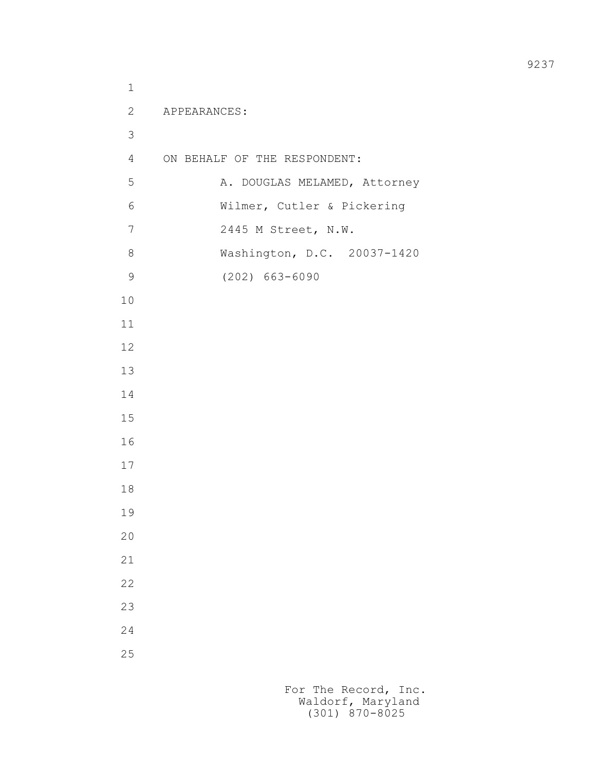```
 1
          2 APPEARANCES:
3
          4 ON BEHALF OF THE RESPONDENT:
         5 A. DOUGLAS MELAMED, Attorney
          6 Wilmer, Cutler & Pickering
          7 2445 M Street, N.W.
          8 Washington, D.C. 20037-1420
          9 (202) 663-6090
         10
         11
         12
         13
         14
         15
         16
         17
         18
         19
         20
         21
         22
         23
         24
         25
```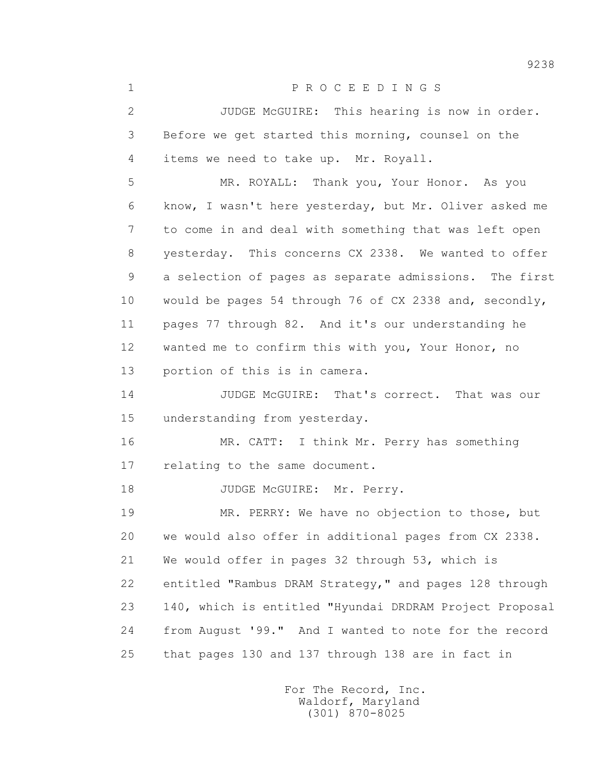1 P R O C E E D I N G S

 2 JUDGE McGUIRE: This hearing is now in order. 3 Before we get started this morning, counsel on the 4 items we need to take up. Mr. Royall.

 5 MR. ROYALL: Thank you, Your Honor. As you 6 know, I wasn't here yesterday, but Mr. Oliver asked me 7 to come in and deal with something that was left open 8 yesterday. This concerns CX 2338. We wanted to offer 9 a selection of pages as separate admissions. The first 10 would be pages 54 through 76 of CX 2338 and, secondly, 11 pages 77 through 82. And it's our understanding he 12 wanted me to confirm this with you, Your Honor, no 13 portion of this is in camera.

 14 JUDGE McGUIRE: That's correct. That was our 15 understanding from yesterday.

 16 MR. CATT: I think Mr. Perry has something 17 relating to the same document.

18 JUDGE McGUIRE: Mr. Perry.

 19 MR. PERRY: We have no objection to those, but 20 we would also offer in additional pages from CX 2338. 21 We would offer in pages 32 through 53, which is 22 entitled "Rambus DRAM Strategy," and pages 128 through 23 140, which is entitled "Hyundai DRDRAM Project Proposal 24 from August '99." And I wanted to note for the record 25 that pages 130 and 137 through 138 are in fact in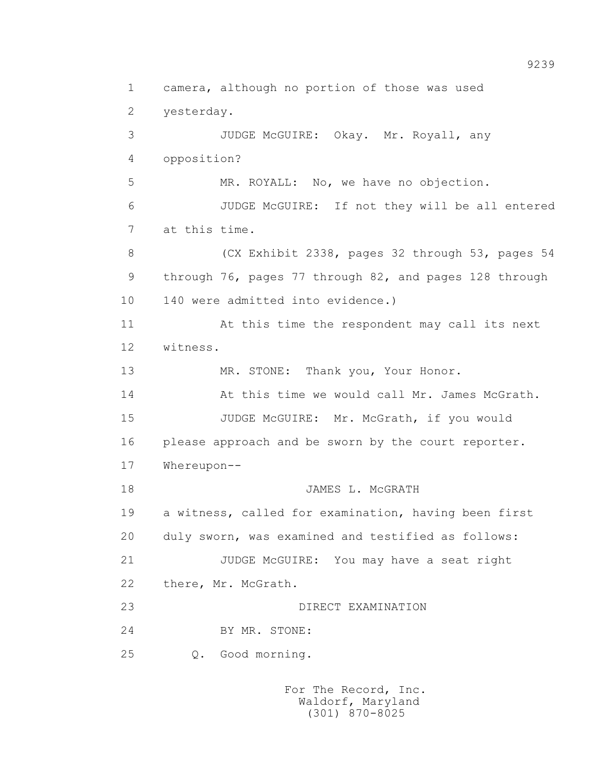1 camera, although no portion of those was used 2 yesterday. 3 JUDGE McGUIRE: Okay. Mr. Royall, any 4 opposition? 5 MR. ROYALL: No, we have no objection. 6 JUDGE McGUIRE: If not they will be all entered 7 at this time. 8 (CX Exhibit 2338, pages 32 through 53, pages 54 9 through 76, pages 77 through 82, and pages 128 through 10 140 were admitted into evidence.) 11 At this time the respondent may call its next 12 witness. 13 MR. STONE: Thank you, Your Honor. 14 At this time we would call Mr. James McGrath. 15 JUDGE McGUIRE: Mr. McGrath, if you would 16 please approach and be sworn by the court reporter. 17 Whereupon-- 18 JAMES L. McGRATH 19 a witness, called for examination, having been first 20 duly sworn, was examined and testified as follows: 21 JUDGE McGUIRE: You may have a seat right 22 there, Mr. McGrath. 23 DIRECT EXAMINATION 24 BY MR. STONE: 25 Q. Good morning.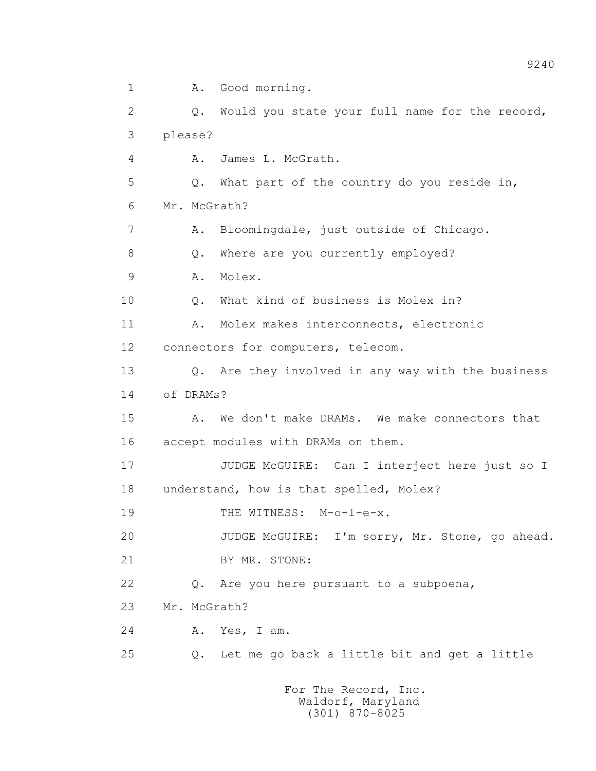1 A. Good morning. 2 Q. Would you state your full name for the record, 3 please? 4 A. James L. McGrath. 5 Q. What part of the country do you reside in, 6 Mr. McGrath? 7 A. Bloomingdale, just outside of Chicago. 8 Q. Where are you currently employed? 9 A. Molex. 10 Q. What kind of business is Molex in? 11 A. Molex makes interconnects, electronic 12 connectors for computers, telecom. 13 Q. Are they involved in any way with the business 14 of DRAMs? 15 A. We don't make DRAMs. We make connectors that 16 accept modules with DRAMs on them. 17 JUDGE McGUIRE: Can I interject here just so I 18 understand, how is that spelled, Molex? 19 THE WITNESS: M-o-l-e-x. 20 JUDGE McGUIRE: I'm sorry, Mr. Stone, go ahead. 21 BY MR. STONE: 22 Q. Are you here pursuant to a subpoena, 23 Mr. McGrath? 24 A. Yes, I am. 25 Q. Let me go back a little bit and get a little For The Record, Inc.

 Waldorf, Maryland (301) 870-8025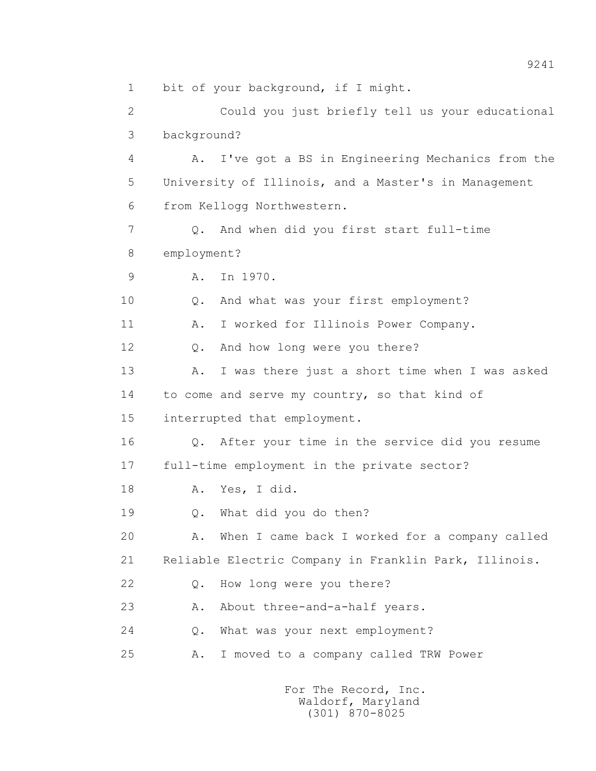1 bit of your background, if I might.

 2 Could you just briefly tell us your educational 3 background?

 4 A. I've got a BS in Engineering Mechanics from the 5 University of Illinois, and a Master's in Management 6 from Kellogg Northwestern.

 7 Q. And when did you first start full-time 8 employment?

9 A. In 1970.

10 Q. And what was your first employment?

11 A. I worked for Illinois Power Company.

12 Q. And how long were you there?

 13 A. I was there just a short time when I was asked 14 to come and serve my country, so that kind of

15 interrupted that employment.

 16 Q. After your time in the service did you resume 17 full-time employment in the private sector?

18 A. Yes, I did.

19 Q. What did you do then?

 20 A. When I came back I worked for a company called 21 Reliable Electric Company in Franklin Park, Illinois.

22 Q. How long were you there?

23 A. About three-and-a-half years.

24 Q. What was your next employment?

25 A. I moved to a company called TRW Power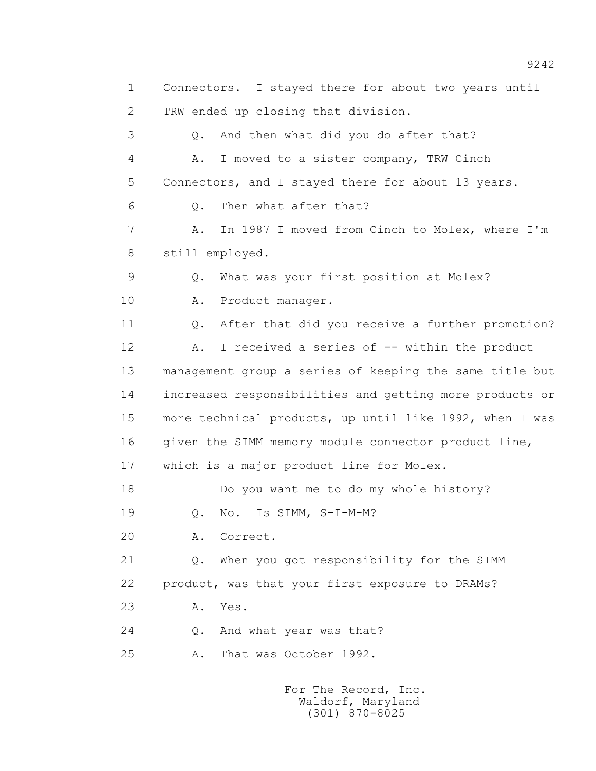1 Connectors. I stayed there for about two years until 2 TRW ended up closing that division. 3 Q. And then what did you do after that? 4 A. I moved to a sister company, TRW Cinch 5 Connectors, and I stayed there for about 13 years. 6 Q. Then what after that? 7 A. In 1987 I moved from Cinch to Molex, where I'm 8 still employed. 9 Q. What was your first position at Molex? 10 A. Product manager. 11 Q. After that did you receive a further promotion? 12 A. I received a series of -- within the product 13 management group a series of keeping the same title but 14 increased responsibilities and getting more products or 15 more technical products, up until like 1992, when I was 16 given the SIMM memory module connector product line, 17 which is a major product line for Molex. 18 Do you want me to do my whole history? 19 Q. No. Is SIMM, S-I-M-M? 20 A. Correct. 21 Q. When you got responsibility for the SIMM 22 product, was that your first exposure to DRAMs? 23 A. Yes. 24 Q. And what year was that? 25 A. That was October 1992.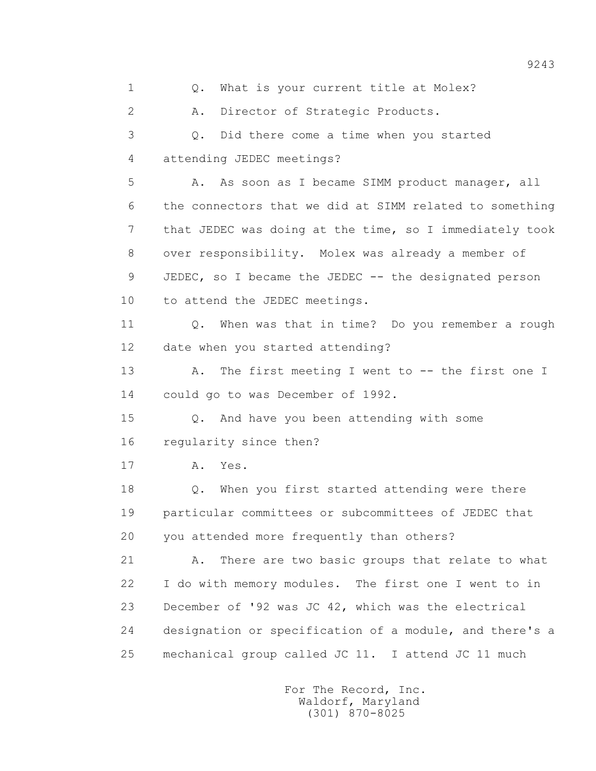1 0. What is your current title at Molex? 2 A. Director of Strategic Products. 3 Q. Did there come a time when you started 4 attending JEDEC meetings? 5 A. As soon as I became SIMM product manager, all 6 the connectors that we did at SIMM related to something 7 that JEDEC was doing at the time, so I immediately took 8 over responsibility. Molex was already a member of 9 JEDEC, so I became the JEDEC -- the designated person 10 to attend the JEDEC meetings. 11 Q. When was that in time? Do you remember a rough 12 date when you started attending? 13 A. The first meeting I went to -- the first one I 14 could go to was December of 1992. 15 Q. And have you been attending with some 16 regularity since then? 17 A. Yes. 18 Q. When you first started attending were there 19 particular committees or subcommittees of JEDEC that 20 you attended more frequently than others? 21 A. There are two basic groups that relate to what 22 I do with memory modules. The first one I went to in 23 December of '92 was JC 42, which was the electrical 24 designation or specification of a module, and there's a 25 mechanical group called JC 11. I attend JC 11 much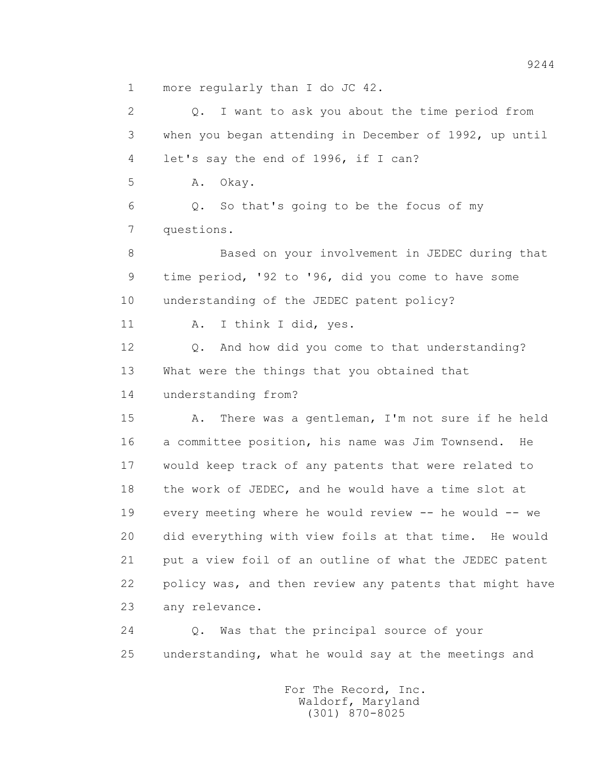1 more regularly than I do JC 42.

 2 Q. I want to ask you about the time period from 3 when you began attending in December of 1992, up until 4 let's say the end of 1996, if I can? 5 A. Okay. 6 Q. So that's going to be the focus of my 7 questions. 8 Based on your involvement in JEDEC during that 9 time period, '92 to '96, did you come to have some 10 understanding of the JEDEC patent policy? 11 A. I think I did, yes. 12 Q. And how did you come to that understanding? 13 What were the things that you obtained that 14 understanding from? 15 A. There was a gentleman, I'm not sure if he held 16 a committee position, his name was Jim Townsend. He 17 would keep track of any patents that were related to 18 the work of JEDEC, and he would have a time slot at 19 every meeting where he would review -- he would -- we 20 did everything with view foils at that time. He would 21 put a view foil of an outline of what the JEDEC patent 22 policy was, and then review any patents that might have 23 any relevance. 24 Q. Was that the principal source of your

25 understanding, what he would say at the meetings and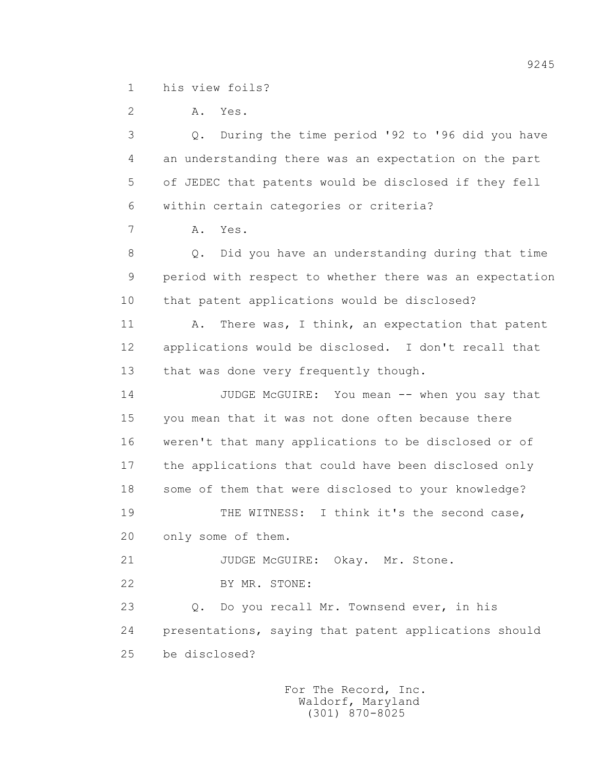1 his view foils?

 2 A. Yes. 3 Q. During the time period '92 to '96 did you have 4 an understanding there was an expectation on the part 5 of JEDEC that patents would be disclosed if they fell 6 within certain categories or criteria? 7 A. Yes. 8 Q. Did you have an understanding during that time 9 period with respect to whether there was an expectation 10 that patent applications would be disclosed? 11 A. There was, I think, an expectation that patent 12 applications would be disclosed. I don't recall that 13 that was done very frequently though. 14 JUDGE McGUIRE: You mean -- when you say that 15 you mean that it was not done often because there 16 weren't that many applications to be disclosed or of 17 the applications that could have been disclosed only 18 some of them that were disclosed to your knowledge? 19 THE WITNESS: I think it's the second case, 20 only some of them. 21 JUDGE McGUIRE: Okay. Mr. Stone. 22 BY MR. STONE: 23 Q. Do you recall Mr. Townsend ever, in his 24 presentations, saying that patent applications should 25 be disclosed?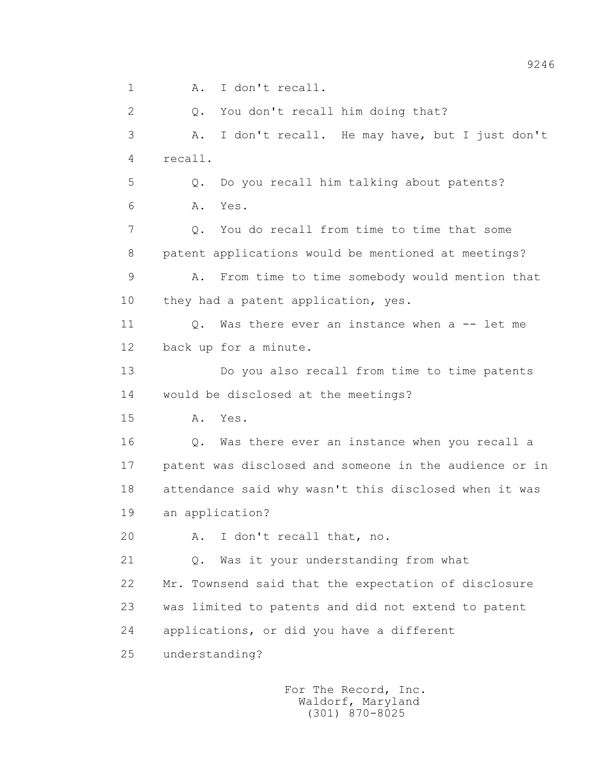1 A. I don't recall.

 2 Q. You don't recall him doing that? 3 A. I don't recall. He may have, but I just don't 4 recall. 5 Q. Do you recall him talking about patents? 6 A. Yes. 7 Q. You do recall from time to time that some 8 patent applications would be mentioned at meetings? 9 A. From time to time somebody would mention that 10 they had a patent application, yes. 11 0. Was there ever an instance when a -- let me 12 back up for a minute. 13 Do you also recall from time to time patents 14 would be disclosed at the meetings? 15 A. Yes. 16 Q. Was there ever an instance when you recall a 17 patent was disclosed and someone in the audience or in 18 attendance said why wasn't this disclosed when it was 19 an application? 20 A. I don't recall that, no. 21 Q. Was it your understanding from what 22 Mr. Townsend said that the expectation of disclosure 23 was limited to patents and did not extend to patent 24 applications, or did you have a different 25 understanding?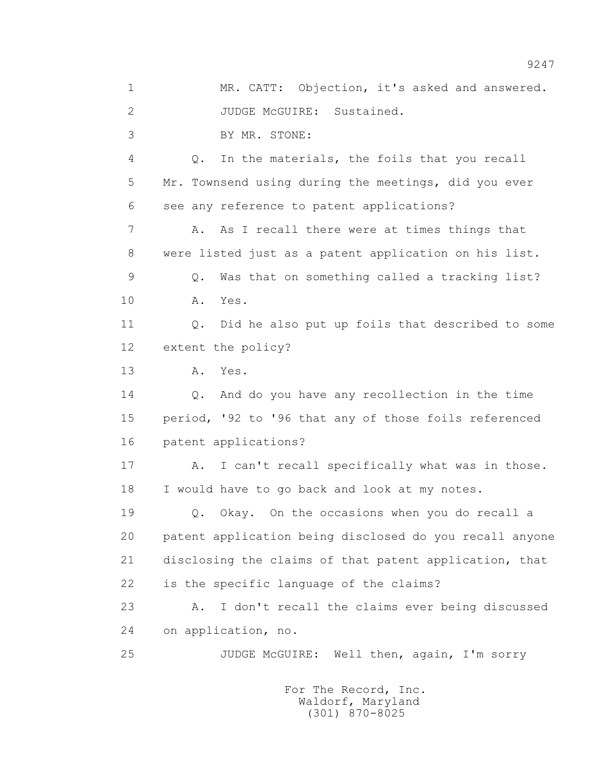1 MR. CATT: Objection, it's asked and answered. 2 JUDGE McGUIRE: Sustained. 3 BY MR. STONE: 4 Q. In the materials, the foils that you recall 5 Mr. Townsend using during the meetings, did you ever 6 see any reference to patent applications? 7 A. As I recall there were at times things that 8 were listed just as a patent application on his list. 9 Q. Was that on something called a tracking list? 10 A. Yes. 11 Q. Did he also put up foils that described to some 12 extent the policy? 13 A. Yes. 14 Q. And do you have any recollection in the time 15 period, '92 to '96 that any of those foils referenced 16 patent applications? 17 A. I can't recall specifically what was in those. 18 I would have to go back and look at my notes. 19 Q. Okay. On the occasions when you do recall a 20 patent application being disclosed do you recall anyone 21 disclosing the claims of that patent application, that 22 is the specific language of the claims? 23 A. I don't recall the claims ever being discussed 24 on application, no. 25 JUDGE McGUIRE: Well then, again, I'm sorry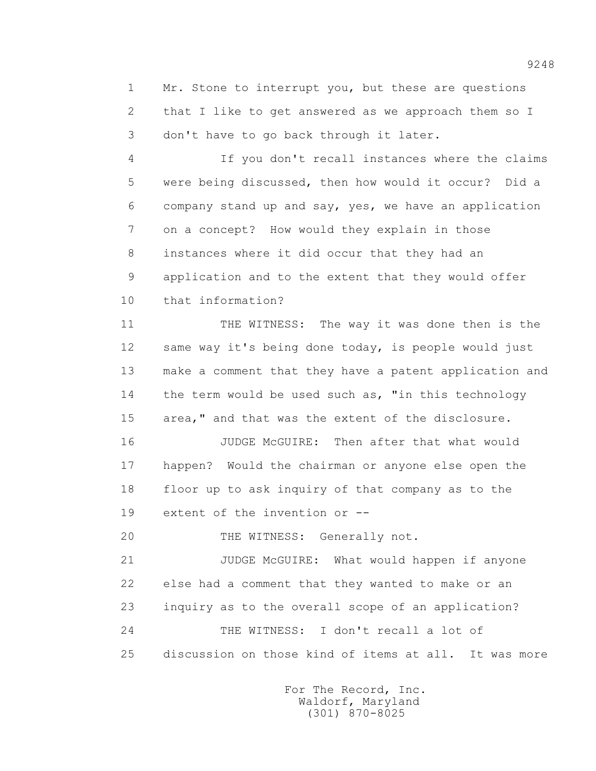1 Mr. Stone to interrupt you, but these are questions 2 that I like to get answered as we approach them so I 3 don't have to go back through it later.

 4 If you don't recall instances where the claims 5 were being discussed, then how would it occur? Did a 6 company stand up and say, yes, we have an application 7 on a concept? How would they explain in those 8 instances where it did occur that they had an 9 application and to the extent that they would offer 10 that information?

 11 THE WITNESS: The way it was done then is the 12 same way it's being done today, is people would just 13 make a comment that they have a patent application and 14 the term would be used such as, "in this technology 15 area," and that was the extent of the disclosure.

 16 JUDGE McGUIRE: Then after that what would 17 happen? Would the chairman or anyone else open the 18 floor up to ask inquiry of that company as to the 19 extent of the invention or --

20 THE WITNESS: Generally not.

 21 JUDGE McGUIRE: What would happen if anyone 22 else had a comment that they wanted to make or an 23 inquiry as to the overall scope of an application? 24 THE WITNESS: I don't recall a lot of 25 discussion on those kind of items at all. It was more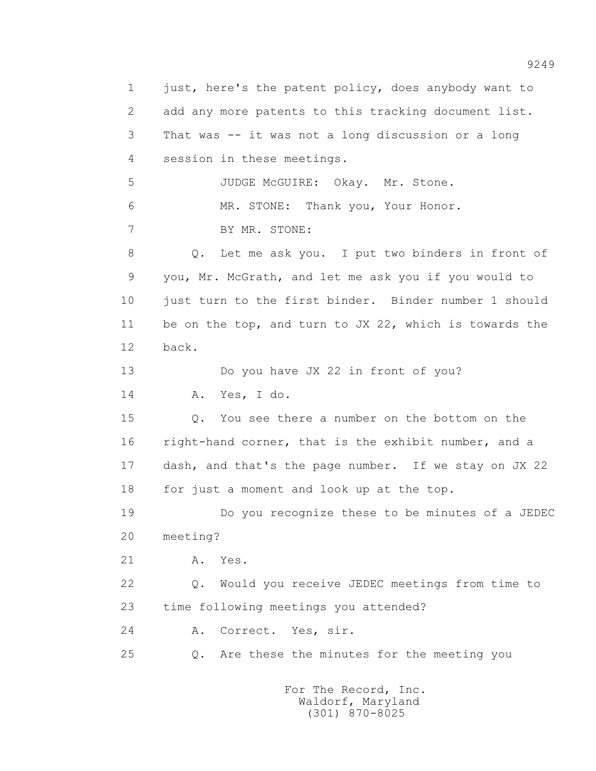1 just, here's the patent policy, does anybody want to 2 add any more patents to this tracking document list. 3 That was -- it was not a long discussion or a long 4 session in these meetings. 5 JUDGE McGUIRE: Okay. Mr. Stone. 6 MR. STONE: Thank you, Your Honor. 7 BY MR. STONE: 8 Q. Let me ask you. I put two binders in front of 9 you, Mr. McGrath, and let me ask you if you would to 10 just turn to the first binder. Binder number 1 should 11 be on the top, and turn to JX 22, which is towards the 12 back. 13 Do you have JX 22 in front of you? 14 A. Yes, I do. 15 Q. You see there a number on the bottom on the 16 right-hand corner, that is the exhibit number, and a 17 dash, and that's the page number. If we stay on JX 22 18 for just a moment and look up at the top. 19 Do you recognize these to be minutes of a JEDEC 20 meeting? 21 A. Yes. 22 Q. Would you receive JEDEC meetings from time to 23 time following meetings you attended? 24 A. Correct. Yes, sir. 25 Q. Are these the minutes for the meeting you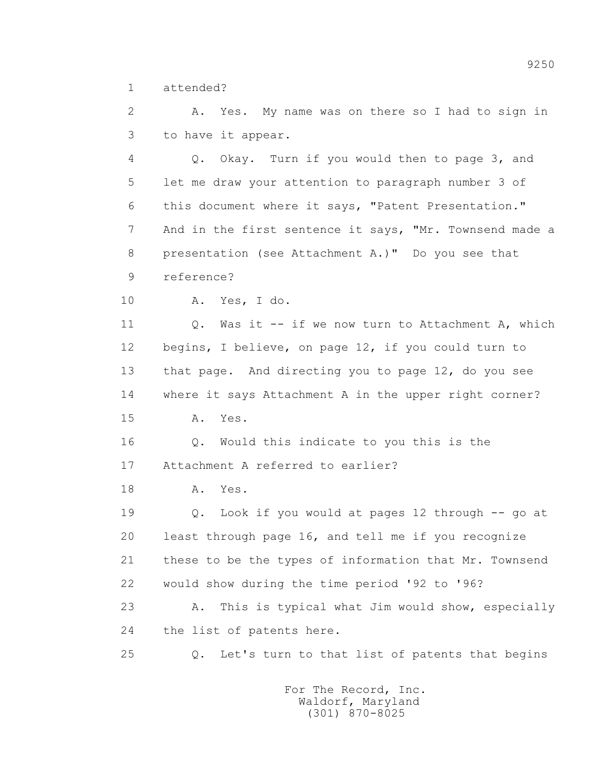1 attended?

 2 A. Yes. My name was on there so I had to sign in 3 to have it appear.

 4 Q. Okay. Turn if you would then to page 3, and 5 let me draw your attention to paragraph number 3 of 6 this document where it says, "Patent Presentation." 7 And in the first sentence it says, "Mr. Townsend made a 8 presentation (see Attachment A.)" Do you see that 9 reference?

10 A. Yes, I do.

11 0. Was it -- if we now turn to Attachment A, which 12 begins, I believe, on page 12, if you could turn to 13 that page. And directing you to page 12, do you see 14 where it says Attachment A in the upper right corner? 15 A. Yes.

 16 Q. Would this indicate to you this is the 17 Attachment A referred to earlier?

18 A. Yes.

 19 Q. Look if you would at pages 12 through -- go at 20 least through page 16, and tell me if you recognize 21 these to be the types of information that Mr. Townsend 22 would show during the time period '92 to '96?

 23 A. This is typical what Jim would show, especially 24 the list of patents here.

25 Q. Let's turn to that list of patents that begins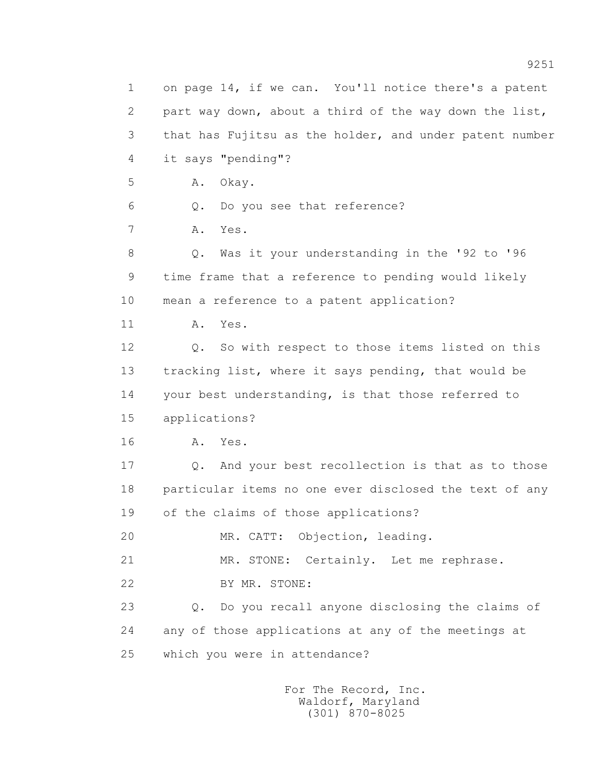1 on page 14, if we can. You'll notice there's a patent 2 part way down, about a third of the way down the list, 3 that has Fujitsu as the holder, and under patent number 4 it says "pending"? 5 A. Okay. 6 Q. Do you see that reference? 7 A. Yes. 8 Q. Was it your understanding in the '92 to '96 9 time frame that a reference to pending would likely 10 mean a reference to a patent application? 11 A. Yes. 12 Q. So with respect to those items listed on this 13 tracking list, where it says pending, that would be 14 your best understanding, is that those referred to 15 applications? 16 **A.** Yes. 17 Q. And your best recollection is that as to those 18 particular items no one ever disclosed the text of any 19 of the claims of those applications? 20 MR. CATT: Objection, leading. 21 MR. STONE: Certainly. Let me rephrase. 22 BY MR. STONE: 23 Q. Do you recall anyone disclosing the claims of 24 any of those applications at any of the meetings at 25 which you were in attendance?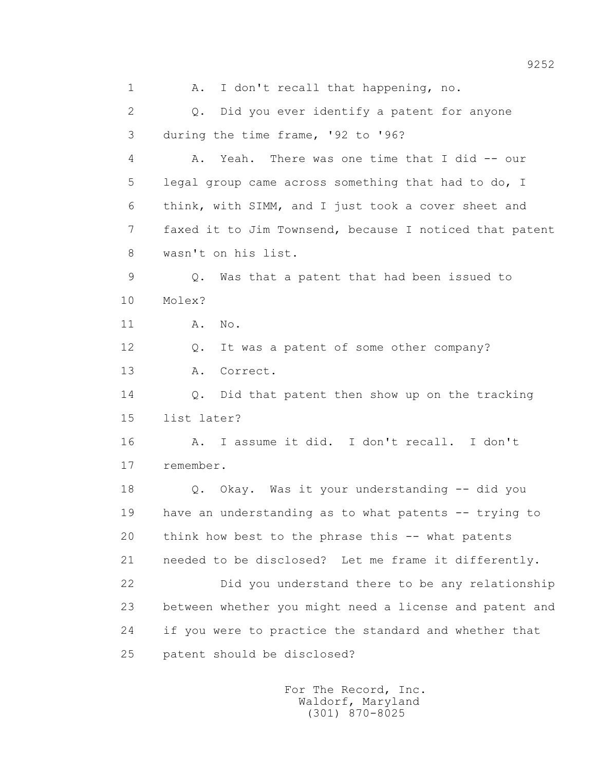1 A. I don't recall that happening, no. 2 Q. Did you ever identify a patent for anyone 3 during the time frame, '92 to '96? 4 A. Yeah. There was one time that I did -- our 5 legal group came across something that had to do, I 6 think, with SIMM, and I just took a cover sheet and 7 faxed it to Jim Townsend, because I noticed that patent 8 wasn't on his list. 9 Q. Was that a patent that had been issued to 10 Molex? 11 A. No. 12 Q. It was a patent of some other company? 13 A. Correct. 14 Q. Did that patent then show up on the tracking 15 list later? 16 A. I assume it did. I don't recall. I don't 17 remember. 18 Q. Okay. Was it your understanding -- did you 19 have an understanding as to what patents -- trying to 20 think how best to the phrase this -- what patents 21 needed to be disclosed? Let me frame it differently. 22 Did you understand there to be any relationship 23 between whether you might need a license and patent and 24 if you were to practice the standard and whether that 25 patent should be disclosed?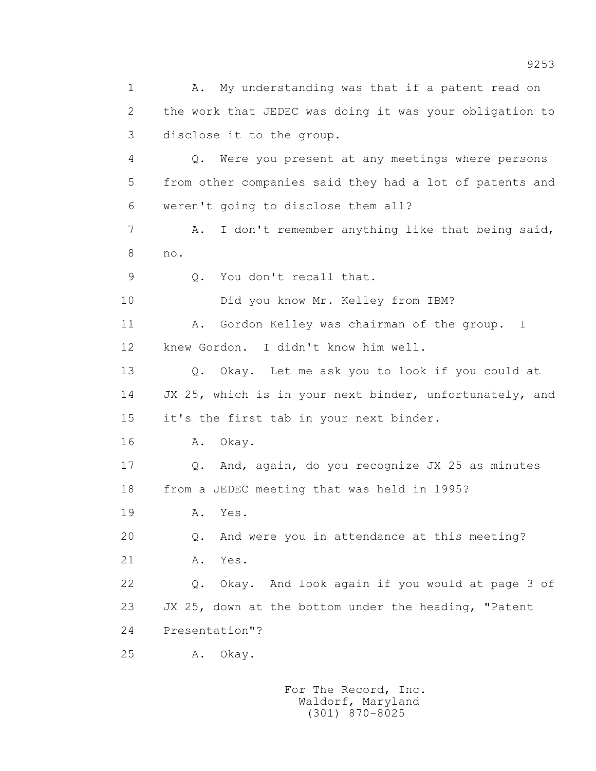1 A. My understanding was that if a patent read on 2 the work that JEDEC was doing it was your obligation to 3 disclose it to the group. 4 Q. Were you present at any meetings where persons 5 from other companies said they had a lot of patents and 6 weren't going to disclose them all? 7 A. I don't remember anything like that being said, 8 no. 9 Q. You don't recall that. 10 Did you know Mr. Kelley from IBM? 11 A. Gordon Kelley was chairman of the group. I 12 knew Gordon. I didn't know him well. 13 Q. Okay. Let me ask you to look if you could at 14 JX 25, which is in your next binder, unfortunately, and 15 it's the first tab in your next binder. 16 A. Okay. 17 Q. And, again, do you recognize JX 25 as minutes 18 from a JEDEC meeting that was held in 1995? 19 **A.** Yes. 20 Q. And were you in attendance at this meeting? 21 A. Yes. 22 Q. Okay. And look again if you would at page 3 of 23 JX 25, down at the bottom under the heading, "Patent 24 Presentation"? 25 A. Okay.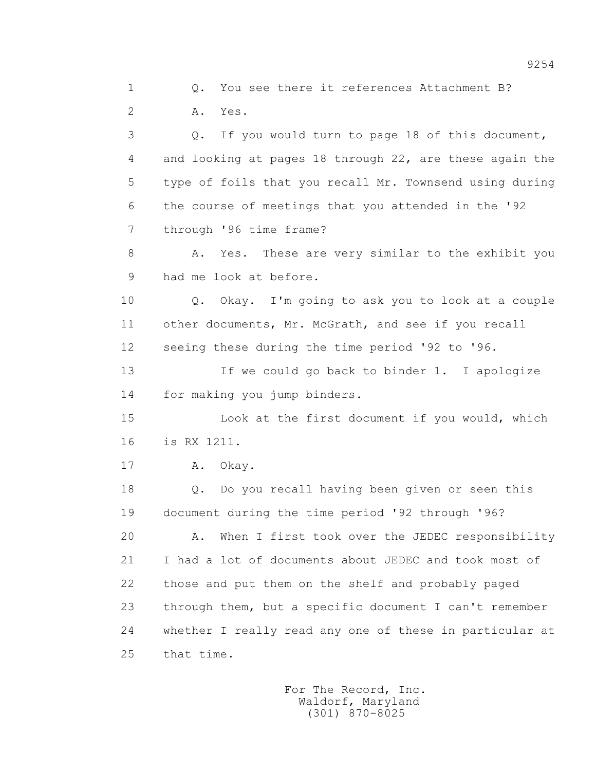2 A. Yes. 3 Q. If you would turn to page 18 of this document, 4 and looking at pages 18 through 22, are these again the 5 type of foils that you recall Mr. Townsend using during 6 the course of meetings that you attended in the '92 7 through '96 time frame? 8 A. Yes. These are very similar to the exhibit you

1 Q. You see there it references Attachment B?

9 had me look at before.

 10 Q. Okay. I'm going to ask you to look at a couple 11 other documents, Mr. McGrath, and see if you recall 12 seeing these during the time period '92 to '96.

 13 If we could go back to binder 1. I apologize 14 for making you jump binders.

 15 Look at the first document if you would, which 16 is RX 1211.

17 A. Okay.

 18 Q. Do you recall having been given or seen this 19 document during the time period '92 through '96?

 20 A. When I first took over the JEDEC responsibility 21 I had a lot of documents about JEDEC and took most of 22 those and put them on the shelf and probably paged 23 through them, but a specific document I can't remember 24 whether I really read any one of these in particular at 25 that time.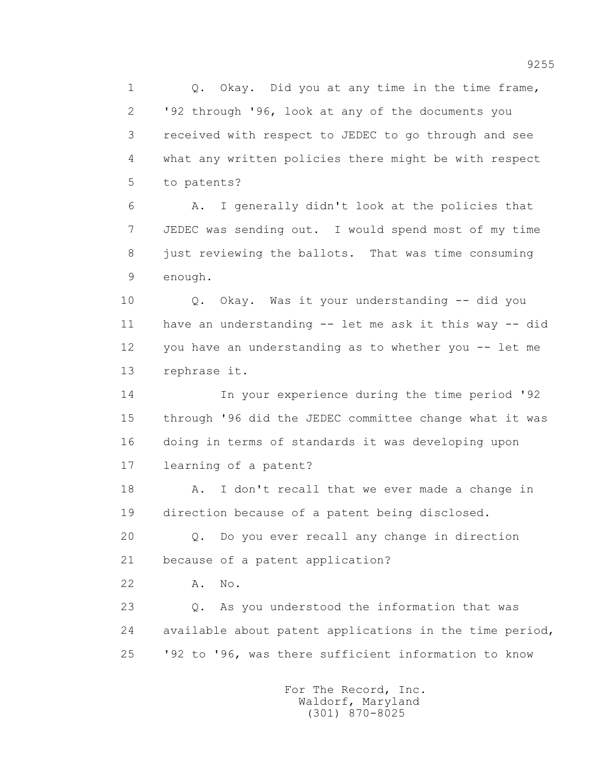1 0. Okay. Did you at any time in the time frame, 2 '92 through '96, look at any of the documents you 3 received with respect to JEDEC to go through and see 4 what any written policies there might be with respect 5 to patents?

 6 A. I generally didn't look at the policies that 7 JEDEC was sending out. I would spend most of my time 8 just reviewing the ballots. That was time consuming 9 enough.

 10 Q. Okay. Was it your understanding -- did you 11 have an understanding -- let me ask it this way -- did 12 you have an understanding as to whether you -- let me 13 rephrase it.

 14 In your experience during the time period '92 15 through '96 did the JEDEC committee change what it was 16 doing in terms of standards it was developing upon 17 learning of a patent?

18 A. I don't recall that we ever made a change in 19 direction because of a patent being disclosed.

 20 Q. Do you ever recall any change in direction 21 because of a patent application?

22 A. No.

 23 Q. As you understood the information that was 24 available about patent applications in the time period, 25 '92 to '96, was there sufficient information to know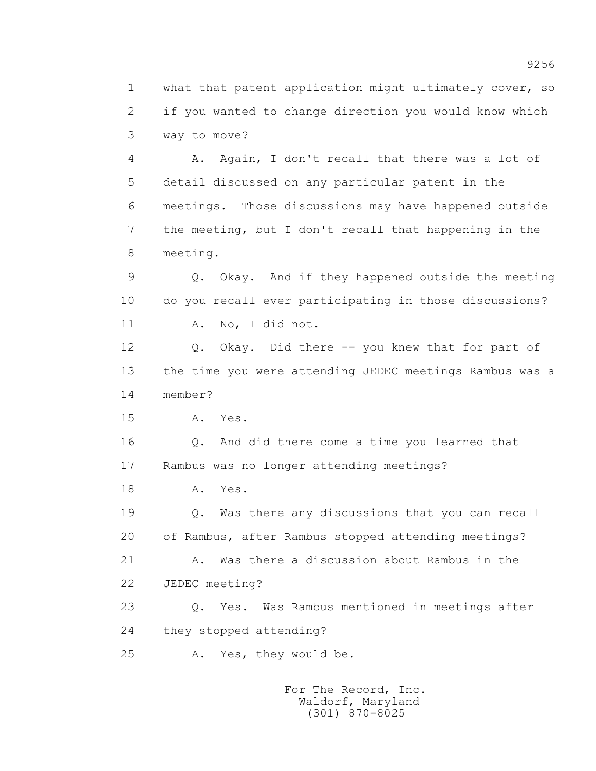1 what that patent application might ultimately cover, so 2 if you wanted to change direction you would know which 3 way to move?

 4 A. Again, I don't recall that there was a lot of 5 detail discussed on any particular patent in the 6 meetings. Those discussions may have happened outside 7 the meeting, but I don't recall that happening in the 8 meeting.

 9 Q. Okay. And if they happened outside the meeting 10 do you recall ever participating in those discussions? 11 A. No, I did not.

 12 Q. Okay. Did there -- you knew that for part of 13 the time you were attending JEDEC meetings Rambus was a 14 member?

15 A. Yes.

 16 Q. And did there come a time you learned that 17 Rambus was no longer attending meetings?

18 A. Yes.

 19 Q. Was there any discussions that you can recall 20 of Rambus, after Rambus stopped attending meetings? 21 A. Was there a discussion about Rambus in the

22 JEDEC meeting?

 23 Q. Yes. Was Rambus mentioned in meetings after 24 they stopped attending?

25 A. Yes, they would be.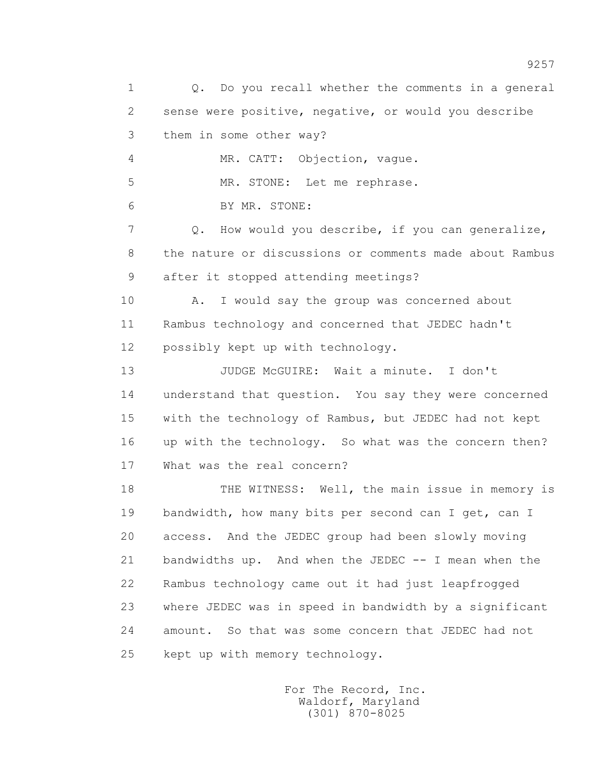1 Q. Do you recall whether the comments in a general 2 sense were positive, negative, or would you describe 3 them in some other way? 4 MR. CATT: Objection, vague. 5 MR. STONE: Let me rephrase. 6 BY MR. STONE: 7 Q. How would you describe, if you can generalize, 8 the nature or discussions or comments made about Rambus 9 after it stopped attending meetings? 10 A. I would say the group was concerned about 11 Rambus technology and concerned that JEDEC hadn't 12 possibly kept up with technology. 13 JUDGE McGUIRE: Wait a minute. I don't 14 understand that question. You say they were concerned 15 with the technology of Rambus, but JEDEC had not kept 16 up with the technology. So what was the concern then? 17 What was the real concern? 18 THE WITNESS: Well, the main issue in memory is 19 bandwidth, how many bits per second can I get, can I 20 access. And the JEDEC group had been slowly moving 21 bandwidths up. And when the JEDEC -- I mean when the 22 Rambus technology came out it had just leapfrogged 23 where JEDEC was in speed in bandwidth by a significant 24 amount. So that was some concern that JEDEC had not 25 kept up with memory technology.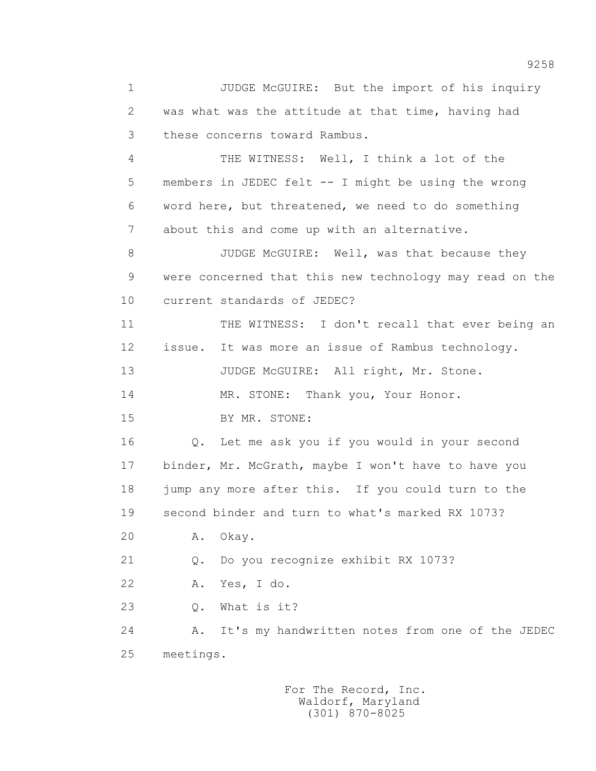1 JUDGE McGUIRE: But the import of his inquiry 2 was what was the attitude at that time, having had 3 these concerns toward Rambus. 4 THE WITNESS: Well, I think a lot of the 5 members in JEDEC felt -- I might be using the wrong 6 word here, but threatened, we need to do something 7 about this and come up with an alternative. 8 JUDGE McGUIRE: Well, was that because they 9 were concerned that this new technology may read on the 10 current standards of JEDEC? 11 THE WITNESS: I don't recall that ever being an 12 issue. It was more an issue of Rambus technology. 13 JUDGE McGUIRE: All right, Mr. Stone. 14 MR. STONE: Thank you, Your Honor. 15 BY MR. STONE: 16 Q. Let me ask you if you would in your second 17 binder, Mr. McGrath, maybe I won't have to have you 18 jump any more after this. If you could turn to the 19 second binder and turn to what's marked RX 1073? 20 A. Okay. 21 Q. Do you recognize exhibit RX 1073? 22 A. Yes, I do. 23 Q. What is it? 24 A. It's my handwritten notes from one of the JEDEC 25 meetings.

> For The Record, Inc. Waldorf, Maryland (301) 870-8025

9258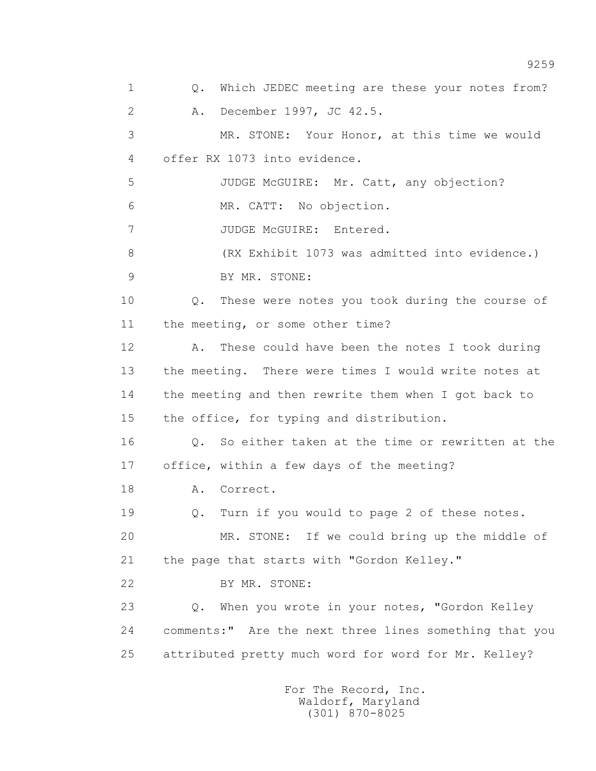1 0. Which JEDEC meeting are these your notes from? 2 A. December 1997, JC 42.5. 3 MR. STONE: Your Honor, at this time we would 4 offer RX 1073 into evidence. 5 JUDGE McGUIRE: Mr. Catt, any objection? 6 MR. CATT: No objection. 7 JUDGE McGUIRE: Entered. 8 (RX Exhibit 1073 was admitted into evidence.) 9 BY MR. STONE: 10 Q. These were notes you took during the course of 11 the meeting, or some other time? 12 A. These could have been the notes I took during 13 the meeting. There were times I would write notes at 14 the meeting and then rewrite them when I got back to 15 the office, for typing and distribution. 16 Q. So either taken at the time or rewritten at the 17 office, within a few days of the meeting? 18 A. Correct. 19 Q. Turn if you would to page 2 of these notes. 20 MR. STONE: If we could bring up the middle of 21 the page that starts with "Gordon Kelley." 22 BY MR. STONE: 23 Q. When you wrote in your notes, "Gordon Kelley 24 comments:" Are the next three lines something that you 25 attributed pretty much word for word for Mr. Kelley?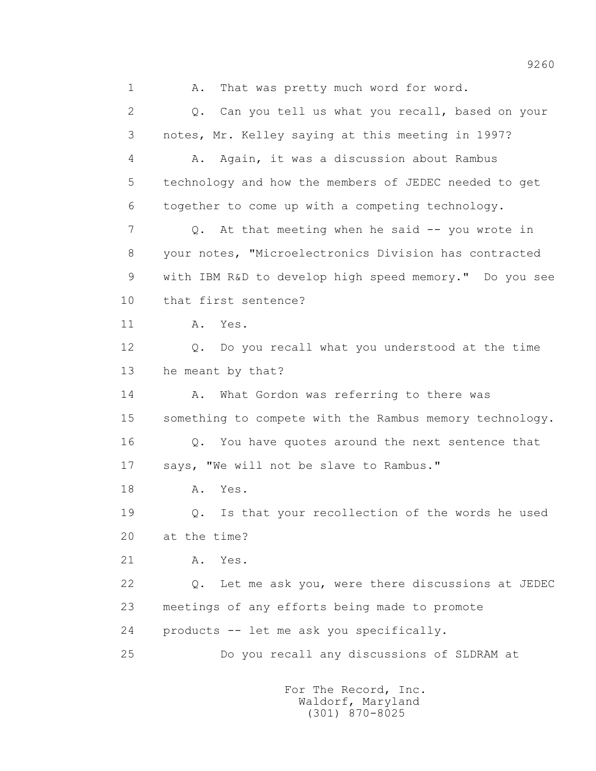1 A. That was pretty much word for word. 2 Q. Can you tell us what you recall, based on your 3 notes, Mr. Kelley saying at this meeting in 1997? 4 A. Again, it was a discussion about Rambus 5 technology and how the members of JEDEC needed to get 6 together to come up with a competing technology. 7 Q. At that meeting when he said -- you wrote in 8 your notes, "Microelectronics Division has contracted 9 with IBM R&D to develop high speed memory." Do you see 10 that first sentence? 11 A. Yes. 12 Q. Do you recall what you understood at the time 13 he meant by that? 14 A. What Gordon was referring to there was 15 something to compete with the Rambus memory technology. 16 Q. You have quotes around the next sentence that 17 says, "We will not be slave to Rambus." 18 A. Yes. 19 Q. Is that your recollection of the words he used 20 at the time? 21 A. Yes. 22 Q. Let me ask you, were there discussions at JEDEC 23 meetings of any efforts being made to promote 24 products -- let me ask you specifically. 25 Do you recall any discussions of SLDRAM at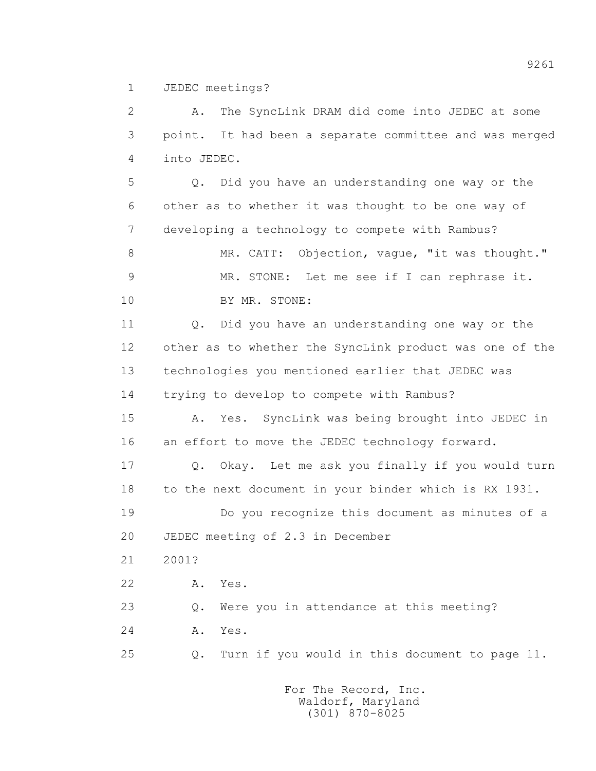1 JEDEC meetings?

 2 A. The SyncLink DRAM did come into JEDEC at some 3 point. It had been a separate committee and was merged 4 into JEDEC.

 5 Q. Did you have an understanding one way or the 6 other as to whether it was thought to be one way of 7 developing a technology to compete with Rambus?

 8 MR. CATT: Objection, vague, "it was thought." 9 MR. STONE: Let me see if I can rephrase it. 10 BY MR. STONE:

 11 Q. Did you have an understanding one way or the 12 other as to whether the SyncLink product was one of the 13 technologies you mentioned earlier that JEDEC was 14 trying to develop to compete with Rambus?

 15 A. Yes. SyncLink was being brought into JEDEC in 16 an effort to move the JEDEC technology forward.

 17 Q. Okay. Let me ask you finally if you would turn 18 to the next document in your binder which is RX 1931.

 19 Do you recognize this document as minutes of a 20 JEDEC meeting of 2.3 in December

21 2001?

22 A. Yes.

23 Q. Were you in attendance at this meeting?

24 A. Yes.

25 Q. Turn if you would in this document to page 11.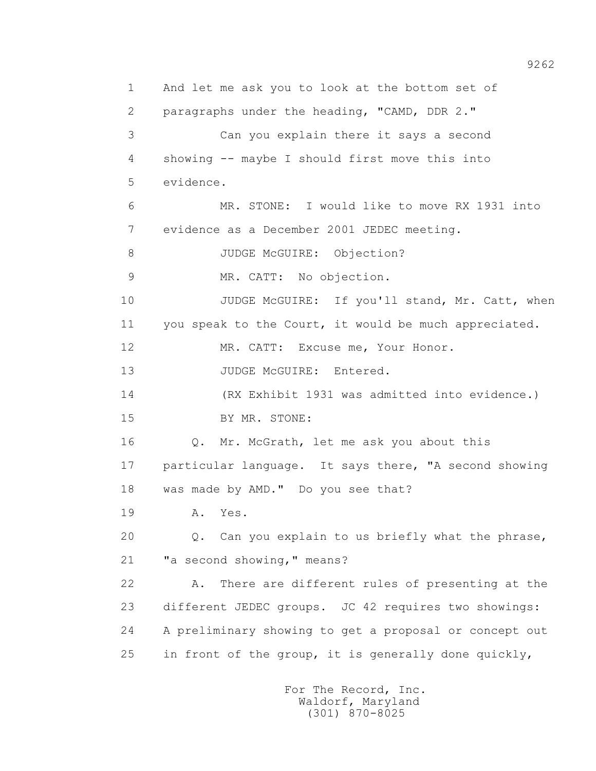1 And let me ask you to look at the bottom set of 2 paragraphs under the heading, "CAMD, DDR 2." 3 Can you explain there it says a second 4 showing -- maybe I should first move this into 5 evidence. 6 MR. STONE: I would like to move RX 1931 into 7 evidence as a December 2001 JEDEC meeting. 8 JUDGE McGUIRE: Objection? 9 MR. CATT: No objection. 10 JUDGE McGUIRE: If you'll stand, Mr. Catt, when 11 you speak to the Court, it would be much appreciated. 12 MR. CATT: Excuse me, Your Honor. 13 JUDGE McGUIRE: Entered. 14 (RX Exhibit 1931 was admitted into evidence.) 15 BY MR. STONE: 16 Q. Mr. McGrath, let me ask you about this 17 particular language. It says there, "A second showing 18 was made by AMD." Do you see that? 19 **A.** Yes. 20 Q. Can you explain to us briefly what the phrase, 21 **"**a second showing, " means? 22 A. There are different rules of presenting at the 23 different JEDEC groups. JC 42 requires two showings: 24 A preliminary showing to get a proposal or concept out 25 in front of the group, it is generally done quickly,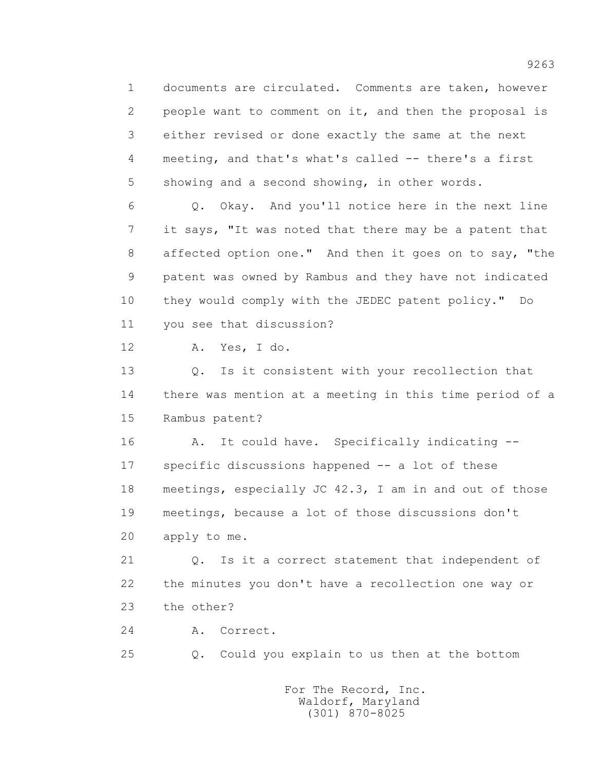1 documents are circulated. Comments are taken, however 2 people want to comment on it, and then the proposal is 3 either revised or done exactly the same at the next 4 meeting, and that's what's called -- there's a first 5 showing and a second showing, in other words.

 6 Q. Okay. And you'll notice here in the next line 7 it says, "It was noted that there may be a patent that 8 affected option one." And then it goes on to say, "the 9 patent was owned by Rambus and they have not indicated 10 they would comply with the JEDEC patent policy." Do 11 you see that discussion?

12 A. Yes, I do.

 13 Q. Is it consistent with your recollection that 14 there was mention at a meeting in this time period of a 15 Rambus patent?

 16 A. It could have. Specifically indicating -- 17 specific discussions happened -- a lot of these 18 meetings, especially JC 42.3, I am in and out of those 19 meetings, because a lot of those discussions don't 20 apply to me.

 21 Q. Is it a correct statement that independent of 22 the minutes you don't have a recollection one way or 23 the other?

24 A. Correct.

25 Q. Could you explain to us then at the bottom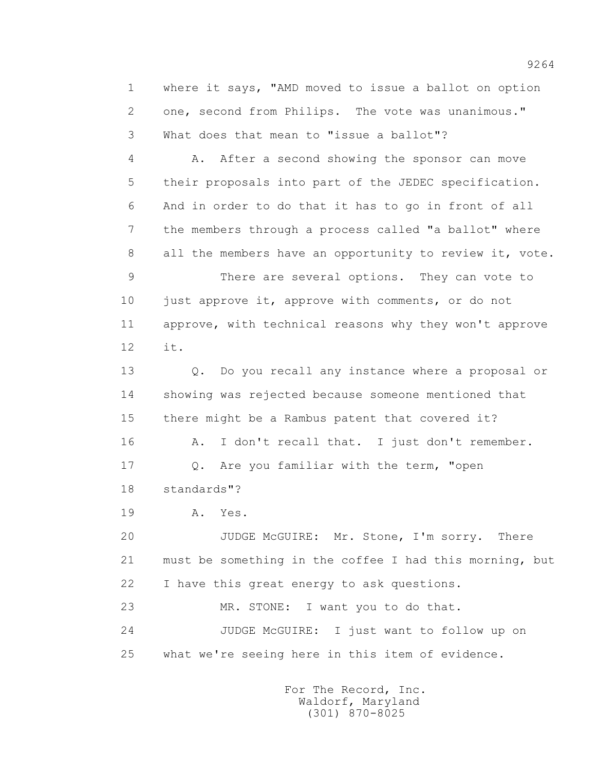1 where it says, "AMD moved to issue a ballot on option 2 one, second from Philips. The vote was unanimous." 3 What does that mean to "issue a ballot"?

 4 A. After a second showing the sponsor can move 5 their proposals into part of the JEDEC specification. 6 And in order to do that it has to go in front of all 7 the members through a process called "a ballot" where 8 all the members have an opportunity to review it, vote. 9 There are several options. They can vote to 10 just approve it, approve with comments, or do not 11 approve, with technical reasons why they won't approve

12 it.

 13 Q. Do you recall any instance where a proposal or 14 showing was rejected because someone mentioned that 15 there might be a Rambus patent that covered it?

 16 A. I don't recall that. I just don't remember. 17 Q. Are you familiar with the term, "open 18 standards"?

19 **A.** Yes.

 20 JUDGE McGUIRE: Mr. Stone, I'm sorry. There 21 must be something in the coffee I had this morning, but 22 I have this great energy to ask questions.

 23 MR. STONE: I want you to do that. 24 JUDGE McGUIRE: I just want to follow up on 25 what we're seeing here in this item of evidence.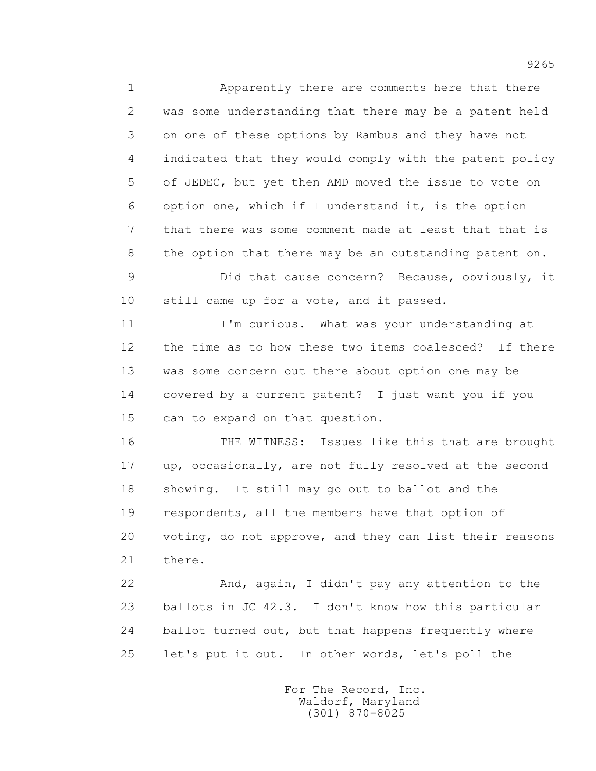1 Apparently there are comments here that there 2 was some understanding that there may be a patent held 3 on one of these options by Rambus and they have not 4 indicated that they would comply with the patent policy 5 of JEDEC, but yet then AMD moved the issue to vote on 6 option one, which if I understand it, is the option 7 that there was some comment made at least that that is 8 the option that there may be an outstanding patent on. 9 Did that cause concern? Because, obviously, it 10 still came up for a vote, and it passed. 11 I'm curious. What was your understanding at 12 the time as to how these two items coalesced? If there 13 was some concern out there about option one may be 14 covered by a current patent? I just want you if you 15 can to expand on that question.

 16 THE WITNESS: Issues like this that are brought 17 up, occasionally, are not fully resolved at the second 18 showing. It still may go out to ballot and the 19 respondents, all the members have that option of 20 voting, do not approve, and they can list their reasons 21 there.

 22 And, again, I didn't pay any attention to the 23 ballots in JC 42.3. I don't know how this particular 24 ballot turned out, but that happens frequently where 25 let's put it out. In other words, let's poll the

> For The Record, Inc. Waldorf, Maryland (301) 870-8025

9265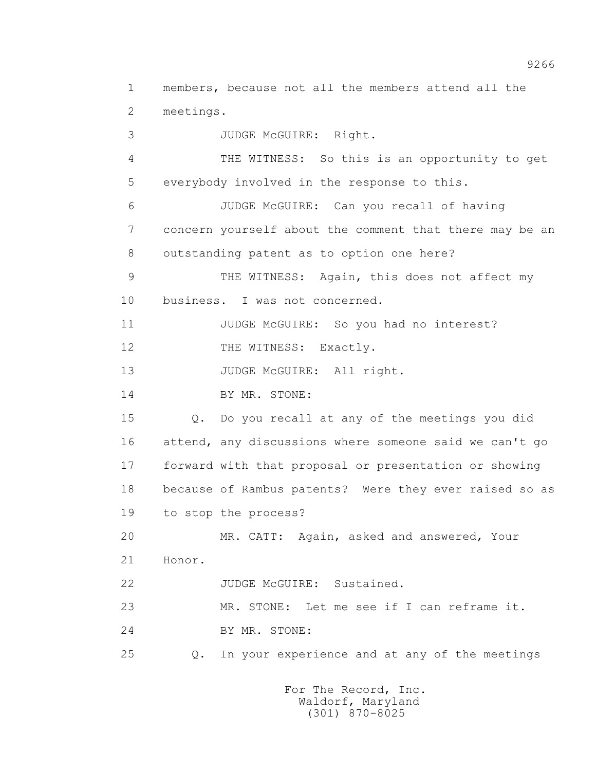1 members, because not all the members attend all the 2 meetings.

 3 JUDGE McGUIRE: Right. 4 THE WITNESS: So this is an opportunity to get 5 everybody involved in the response to this. 6 JUDGE McGUIRE: Can you recall of having 7 concern yourself about the comment that there may be an 8 outstanding patent as to option one here? 9 THE WITNESS: Again, this does not affect my 10 business. I was not concerned. 11 JUDGE McGUIRE: So you had no interest? 12 THE WITNESS: Exactly. 13 JUDGE McGUIRE: All right. 14 BY MR. STONE: 15 Q. Do you recall at any of the meetings you did 16 attend, any discussions where someone said we can't go 17 forward with that proposal or presentation or showing 18 because of Rambus patents? Were they ever raised so as 19 to stop the process? 20 MR. CATT: Again, asked and answered, Your 21 Honor. 22 JUDGE McGUIRE: Sustained. 23 MR. STONE: Let me see if I can reframe it. 24 BY MR. STONE: 25 Q. In your experience and at any of the meetings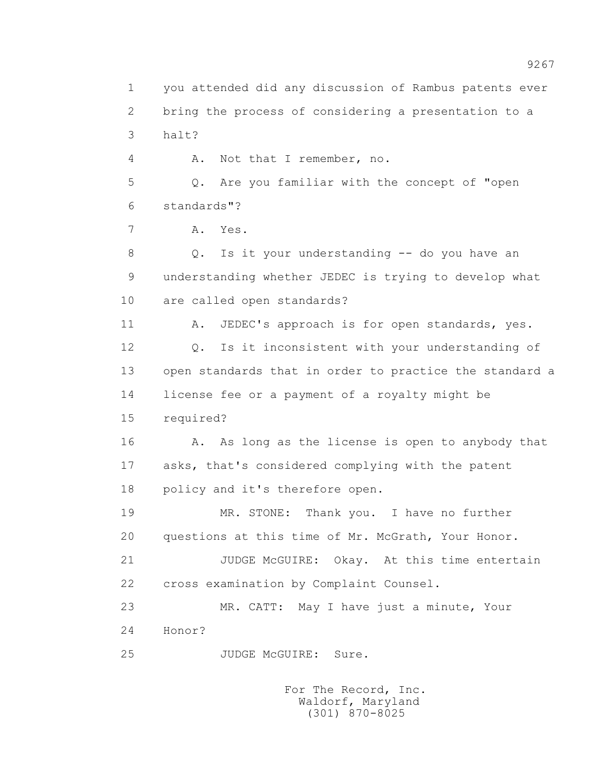1 you attended did any discussion of Rambus patents ever 2 bring the process of considering a presentation to a 3 halt? 4 A. Not that I remember, no. 5 Q. Are you familiar with the concept of "open 6 standards"? 7 A. Yes. 8 Q. Is it your understanding -- do you have an 9 understanding whether JEDEC is trying to develop what 10 are called open standards? 11 A. JEDEC's approach is for open standards, yes. 12 Q. Is it inconsistent with your understanding of 13 open standards that in order to practice the standard a 14 license fee or a payment of a royalty might be 15 required? 16 A. As long as the license is open to anybody that 17 asks, that's considered complying with the patent 18 policy and it's therefore open. 19 MR. STONE: Thank you. I have no further 20 questions at this time of Mr. McGrath, Your Honor. 21 JUDGE McGUIRE: Okay. At this time entertain 22 cross examination by Complaint Counsel. 23 MR. CATT: May I have just a minute, Your 24 Honor? 25 JUDGE McGUIRE: Sure.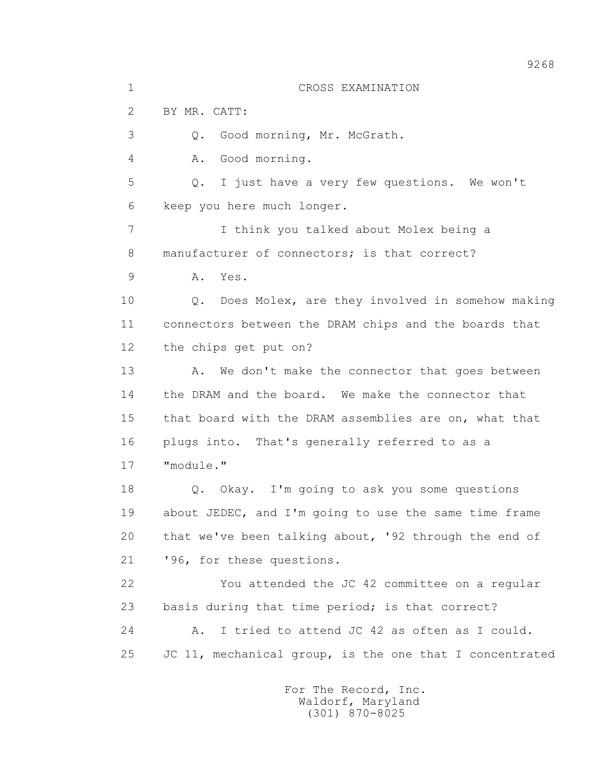1 CROSS EXAMINATION 2 BY MR. CATT: 3 Q. Good morning, Mr. McGrath. 4 A. Good morning. 5 Q. I just have a very few questions. We won't 6 keep you here much longer. 7 I think you talked about Molex being a 8 manufacturer of connectors; is that correct? 9 A. Yes. 10 Q. Does Molex, are they involved in somehow making 11 connectors between the DRAM chips and the boards that 12 the chips get put on? 13 A. We don't make the connector that goes between 14 the DRAM and the board. We make the connector that 15 that board with the DRAM assemblies are on, what that 16 plugs into. That's generally referred to as a 17 "module." 18 Q. Okay. I'm going to ask you some questions 19 about JEDEC, and I'm going to use the same time frame 20 that we've been talking about, '92 through the end of 21 '96, for these questions. 22 You attended the JC 42 committee on a regular 23 basis during that time period; is that correct? 24 A. I tried to attend JC 42 as often as I could. 25 JC 11, mechanical group, is the one that I concentrated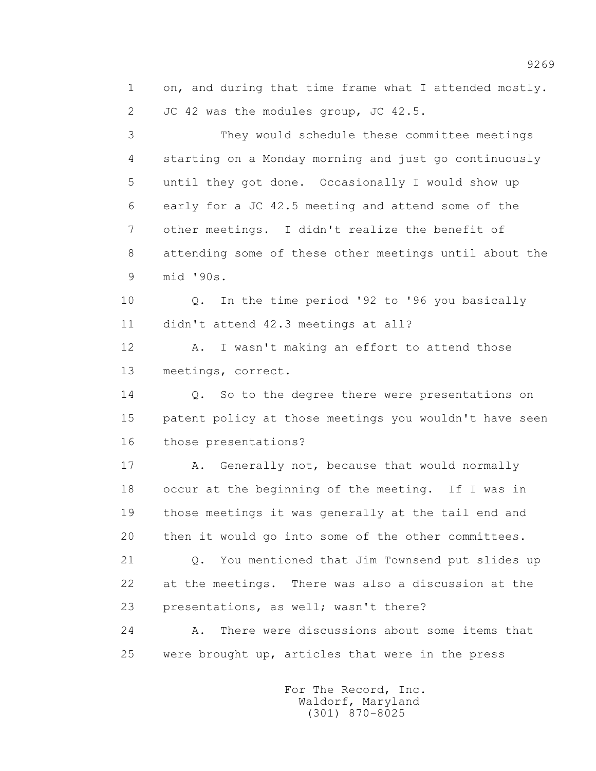1 on, and during that time frame what I attended mostly. 2 JC 42 was the modules group, JC 42.5.

 3 They would schedule these committee meetings 4 starting on a Monday morning and just go continuously 5 until they got done. Occasionally I would show up 6 early for a JC 42.5 meeting and attend some of the 7 other meetings. I didn't realize the benefit of 8 attending some of these other meetings until about the 9 mid '90s.

 10 Q. In the time period '92 to '96 you basically 11 didn't attend 42.3 meetings at all?

12 A. I wasn't making an effort to attend those 13 meetings, correct.

14 Q. So to the degree there were presentations on 15 patent policy at those meetings you wouldn't have seen 16 those presentations?

17 A. Generally not, because that would normally 18 occur at the beginning of the meeting. If I was in 19 those meetings it was generally at the tail end and 20 then it would go into some of the other committees.

 21 Q. You mentioned that Jim Townsend put slides up 22 at the meetings. There was also a discussion at the 23 presentations, as well; wasn't there?

 24 A. There were discussions about some items that 25 were brought up, articles that were in the press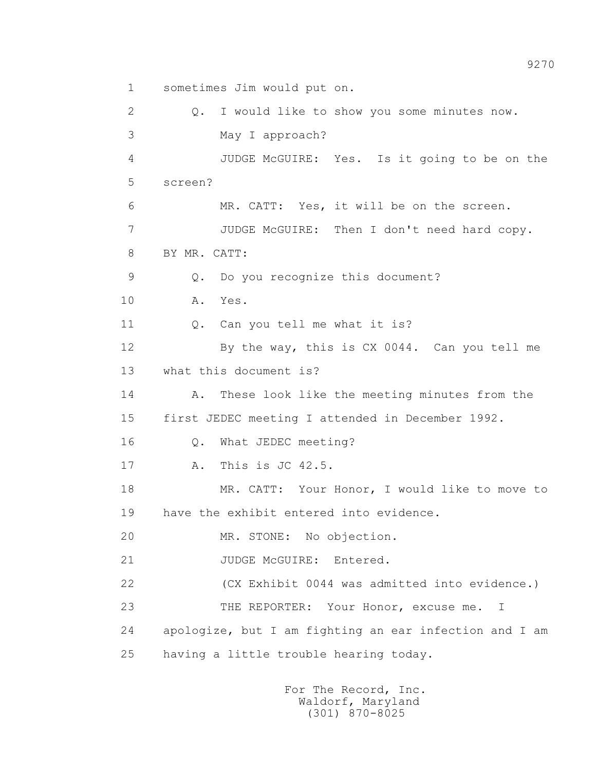1 sometimes Jim would put on. 2 Q. I would like to show you some minutes now. 3 May I approach? 4 JUDGE McGUIRE: Yes. Is it going to be on the 5 screen? 6 MR. CATT: Yes, it will be on the screen. 7 JUDGE McGUIRE: Then I don't need hard copy. 8 BY MR. CATT: 9 Q. Do you recognize this document? 10 A. Yes. 11 0. Can you tell me what it is? 12 By the way, this is CX 0044. Can you tell me 13 what this document is? 14 A. These look like the meeting minutes from the 15 first JEDEC meeting I attended in December 1992. 16 Q. What JEDEC meeting? 17 A. This is JC 42.5. 18 MR. CATT: Your Honor, I would like to move to 19 have the exhibit entered into evidence. 20 MR. STONE: No objection. 21 JUDGE McGUIRE: Entered. 22 (CX Exhibit 0044 was admitted into evidence.) 23 THE REPORTER: Your Honor, excuse me. I 24 apologize, but I am fighting an ear infection and I am 25 having a little trouble hearing today.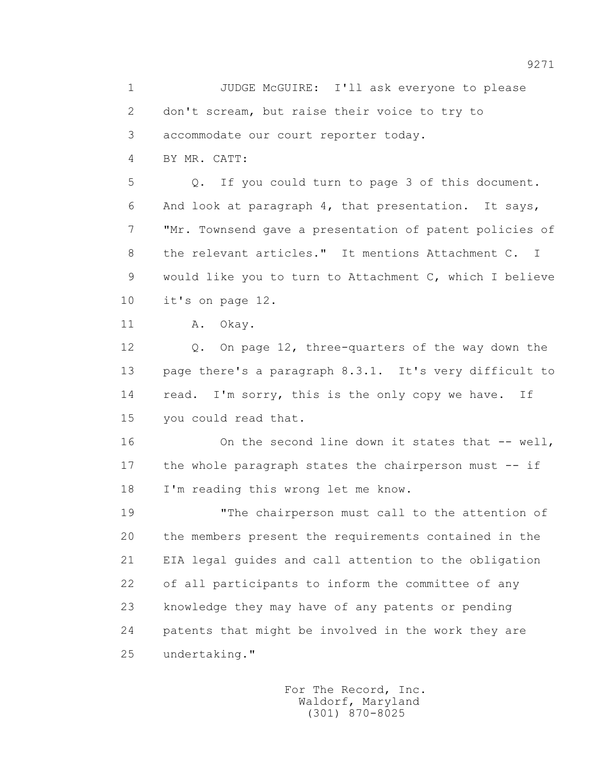1 JUDGE McGUIRE: I'll ask everyone to please 2 don't scream, but raise their voice to try to 3 accommodate our court reporter today.

4 BY MR. CATT:

 5 Q. If you could turn to page 3 of this document. 6 And look at paragraph 4, that presentation. It says, 7 "Mr. Townsend gave a presentation of patent policies of 8 the relevant articles." It mentions Attachment C. I 9 would like you to turn to Attachment C, which I believe 10 it's on page 12.

11 A. Okay.

 12 Q. On page 12, three-quarters of the way down the 13 page there's a paragraph 8.3.1. It's very difficult to 14 read. I'm sorry, this is the only copy we have. If 15 you could read that.

16 On the second line down it states that -- well, 17 the whole paragraph states the chairperson must -- if 18 I'm reading this wrong let me know.

 19 "The chairperson must call to the attention of 20 the members present the requirements contained in the 21 EIA legal guides and call attention to the obligation 22 of all participants to inform the committee of any 23 knowledge they may have of any patents or pending 24 patents that might be involved in the work they are 25 undertaking."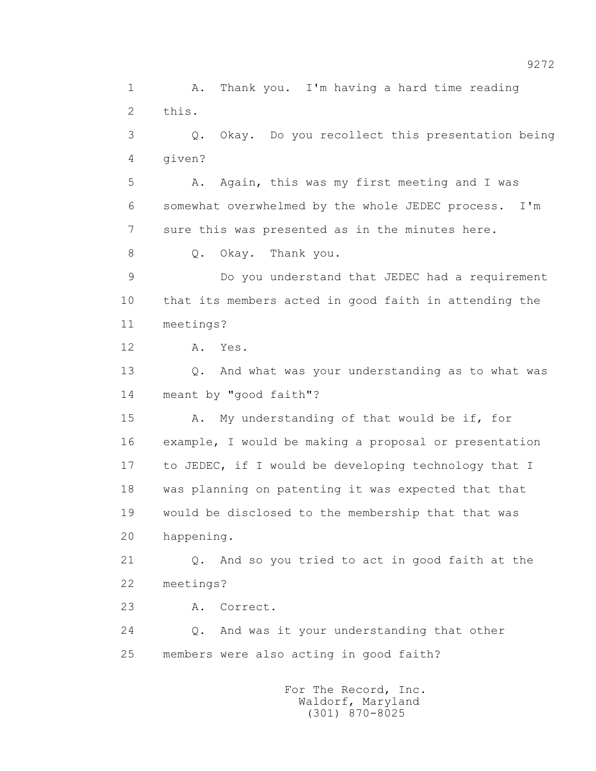1 A. Thank you. I'm having a hard time reading 2 this. 3 Q. Okay. Do you recollect this presentation being 4 given? 5 A. Again, this was my first meeting and I was 6 somewhat overwhelmed by the whole JEDEC process. I'm 7 sure this was presented as in the minutes here. 8 Q. Okay. Thank you. 9 Do you understand that JEDEC had a requirement 10 that its members acted in good faith in attending the 11 meetings? 12 A. Yes. 13 Q. And what was your understanding as to what was 14 meant by "good faith"? 15 A. My understanding of that would be if, for 16 example, I would be making a proposal or presentation 17 to JEDEC, if I would be developing technology that I 18 was planning on patenting it was expected that that 19 would be disclosed to the membership that that was 20 happening. 21 Q. And so you tried to act in good faith at the 22 meetings? 23 A. Correct. 24 Q. And was it your understanding that other 25 members were also acting in good faith? For The Record, Inc.

 Waldorf, Maryland (301) 870-8025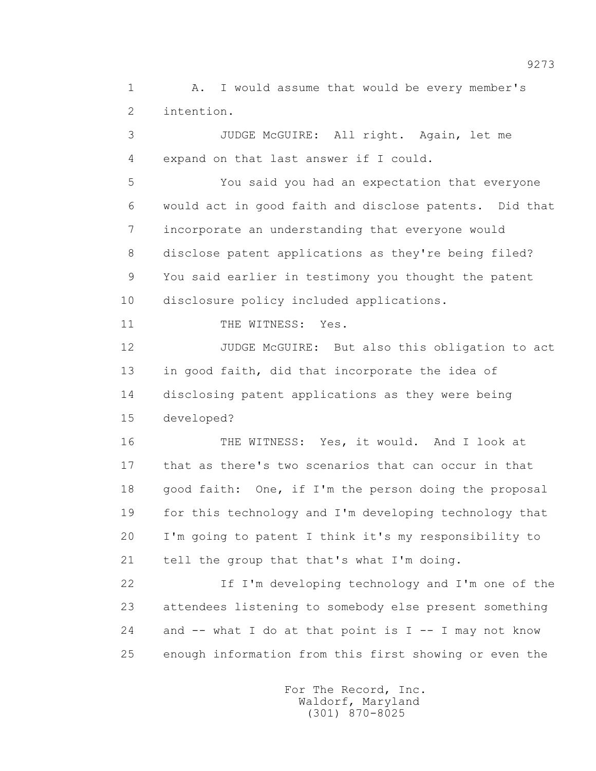1 A. I would assume that would be every member's 2 intention.

 3 JUDGE McGUIRE: All right. Again, let me 4 expand on that last answer if I could. 5 You said you had an expectation that everyone 6 would act in good faith and disclose patents. Did that 7 incorporate an understanding that everyone would 8 disclose patent applications as they're being filed? 9 You said earlier in testimony you thought the patent 10 disclosure policy included applications. 11 THE WITNESS: Yes. 12 JUDGE McGUIRE: But also this obligation to act 13 in good faith, did that incorporate the idea of 14 disclosing patent applications as they were being 15 developed? 16 THE WITNESS: Yes, it would. And I look at 17 that as there's two scenarios that can occur in that 18 good faith: One, if I'm the person doing the proposal 19 for this technology and I'm developing technology that

 20 I'm going to patent I think it's my responsibility to 21 tell the group that that's what I'm doing.

 22 If I'm developing technology and I'm one of the 23 attendees listening to somebody else present something 24 and  $-$ - what I do at that point is I  $-$ - I may not know 25 enough information from this first showing or even the

> For The Record, Inc. Waldorf, Maryland (301) 870-8025

9273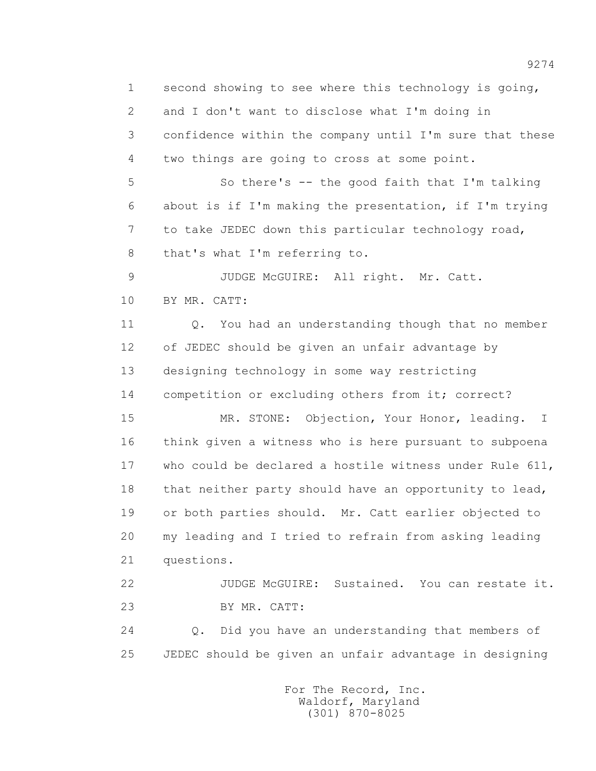1 second showing to see where this technology is going, 2 and I don't want to disclose what I'm doing in 3 confidence within the company until I'm sure that these 4 two things are going to cross at some point. 5 So there's -- the good faith that I'm talking 6 about is if I'm making the presentation, if I'm trying 7 to take JEDEC down this particular technology road, 8 that's what I'm referring to. 9 JUDGE McGUIRE: All right. Mr. Catt. 10 BY MR. CATT: 11 Q. You had an understanding though that no member 12 of JEDEC should be given an unfair advantage by 13 designing technology in some way restricting 14 competition or excluding others from it; correct? 15 MR. STONE: Objection, Your Honor, leading. I 16 think given a witness who is here pursuant to subpoena 17 who could be declared a hostile witness under Rule 611, 18 that neither party should have an opportunity to lead, 19 or both parties should. Mr. Catt earlier objected to 20 my leading and I tried to refrain from asking leading 21 questions. 22 JUDGE McGUIRE: Sustained. You can restate it. 23 BY MR. CATT: 24 Q. Did you have an understanding that members of 25 JEDEC should be given an unfair advantage in designing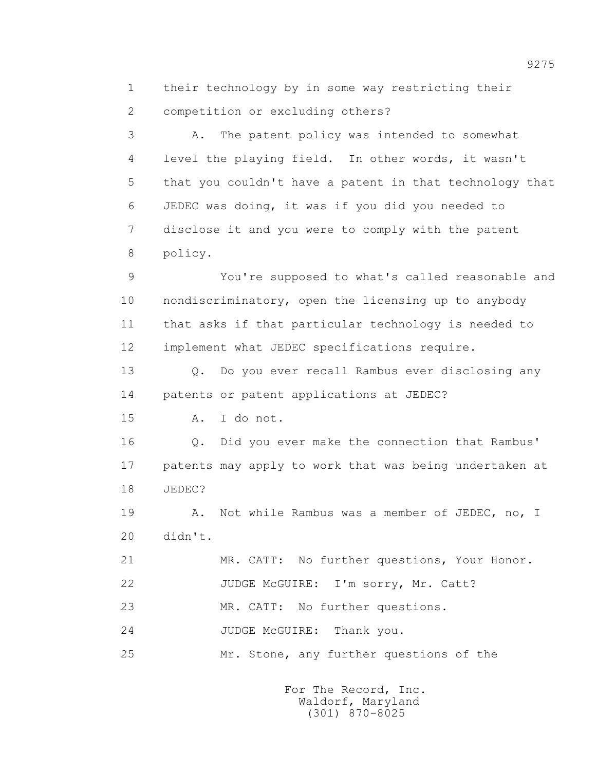1 their technology by in some way restricting their 2 competition or excluding others?

 3 A. The patent policy was intended to somewhat 4 level the playing field. In other words, it wasn't 5 that you couldn't have a patent in that technology that 6 JEDEC was doing, it was if you did you needed to 7 disclose it and you were to comply with the patent 8 policy.

 9 You're supposed to what's called reasonable and 10 nondiscriminatory, open the licensing up to anybody 11 that asks if that particular technology is needed to 12 implement what JEDEC specifications require.

 13 Q. Do you ever recall Rambus ever disclosing any 14 patents or patent applications at JEDEC?

15 A. I do not.

 16 Q. Did you ever make the connection that Rambus' 17 patents may apply to work that was being undertaken at 18 JEDEC?

 19 A. Not while Rambus was a member of JEDEC, no, I 20 didn't.

21 MR. CATT: No further questions, Your Honor.

22 JUDGE McGUIRE: I'm sorry, Mr. Catt?

23 MR. CATT: No further questions.

24 JUDGE McGUIRE: Thank you.

25 Mr. Stone, any further questions of the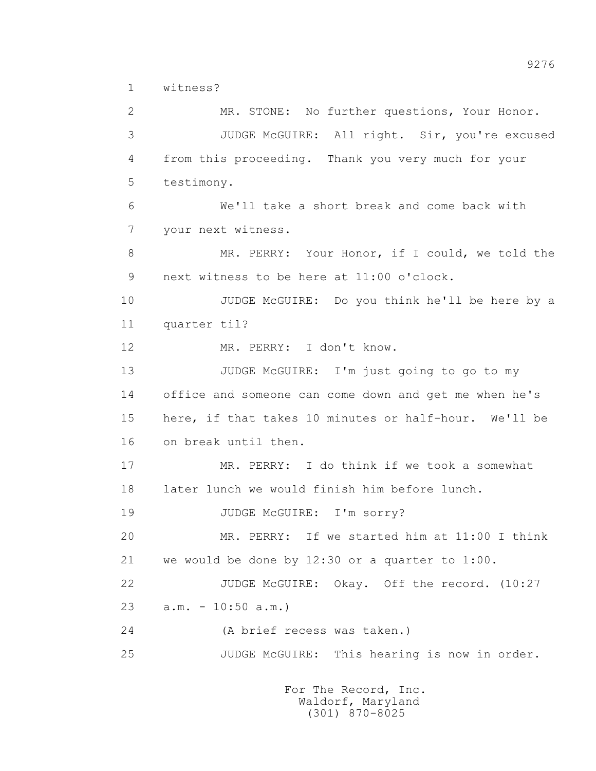1 witness?

 2 MR. STONE: No further questions, Your Honor. 3 JUDGE McGUIRE: All right. Sir, you're excused 4 from this proceeding. Thank you very much for your 5 testimony. 6 We'll take a short break and come back with 7 your next witness. 8 MR. PERRY: Your Honor, if I could, we told the 9 next witness to be here at 11:00 o'clock. 10 JUDGE McGUIRE: Do you think he'll be here by a 11 quarter til? 12 MR. PERRY: I don't know. 13 JUDGE McGUIRE: I'm just going to go to my 14 office and someone can come down and get me when he's 15 here, if that takes 10 minutes or half-hour. We'll be 16 on break until then. 17 MR. PERRY: I do think if we took a somewhat 18 later lunch we would finish him before lunch. 19 JUDGE McGUIRE: I'm sorry? 20 MR. PERRY: If we started him at 11:00 I think 21 we would be done by 12:30 or a quarter to 1:00. 22 JUDGE McGUIRE: Okay. Off the record. (10:27 23 a.m. - 10:50 a.m.) 24 (A brief recess was taken.) 25 JUDGE McGUIRE: This hearing is now in order.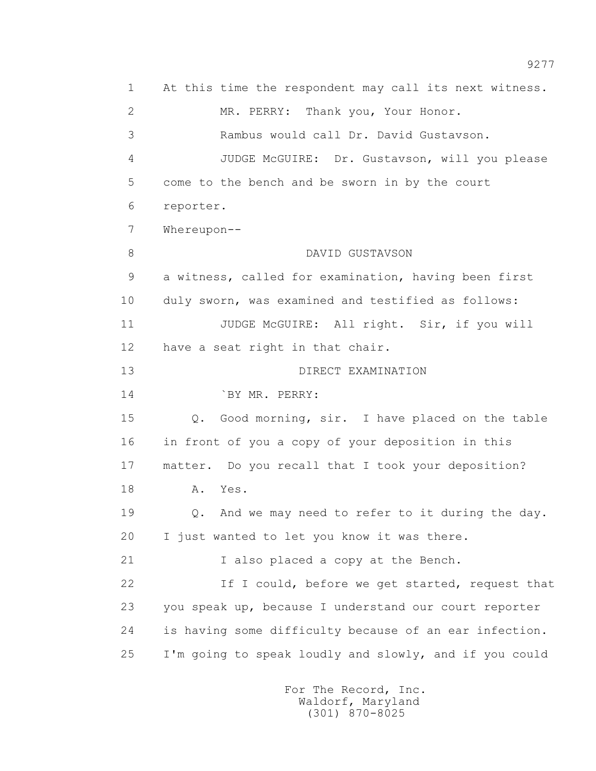1 At this time the respondent may call its next witness. 2 MR. PERRY: Thank you, Your Honor. 3 Rambus would call Dr. David Gustavson. 4 JUDGE McGUIRE: Dr. Gustavson, will you please 5 come to the bench and be sworn in by the court 6 reporter. 7 Whereupon-- 8 DAVID GUSTAVSON 9 a witness, called for examination, having been first 10 duly sworn, was examined and testified as follows: 11 JUDGE McGUIRE: All right. Sir, if you will 12 have a seat right in that chair. 13 DIRECT EXAMINATION 14 **BY MR. PERRY:**  15 Q. Good morning, sir. I have placed on the table 16 in front of you a copy of your deposition in this 17 matter. Do you recall that I took your deposition? 18 A. Yes. 19 Q. And we may need to refer to it during the day. 20 I just wanted to let you know it was there. 21 I also placed a copy at the Bench. 22 If I could, before we get started, request that 23 you speak up, because I understand our court reporter 24 is having some difficulty because of an ear infection. 25 I'm going to speak loudly and slowly, and if you could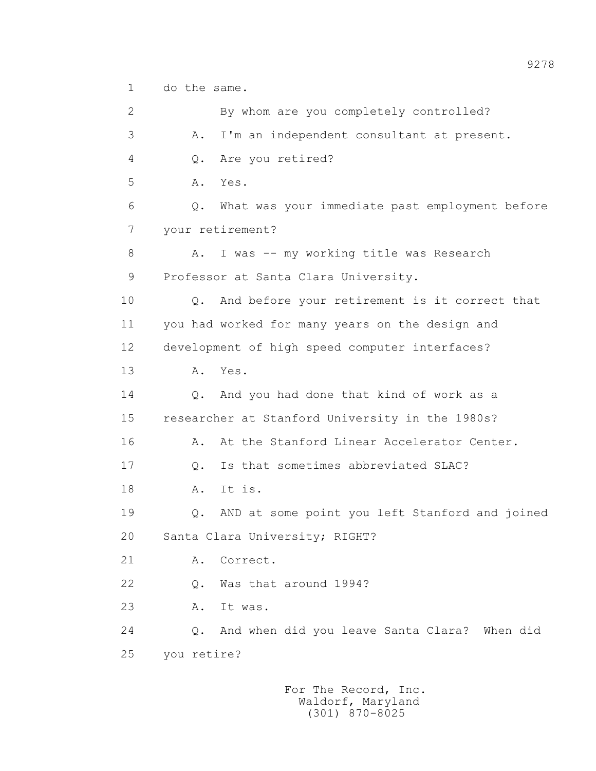1 do the same.

 2 By whom are you completely controlled? 3 A. I'm an independent consultant at present. 4 Q. Are you retired? 5 A. Yes. 6 Q. What was your immediate past employment before 7 your retirement? 8 A. I was -- my working title was Research 9 Professor at Santa Clara University. 10 Q. And before your retirement is it correct that 11 you had worked for many years on the design and 12 development of high speed computer interfaces? 13 A. Yes. 14 Q. And you had done that kind of work as a 15 researcher at Stanford University in the 1980s? 16 A. At the Stanford Linear Accelerator Center. 17 Q. Is that sometimes abbreviated SLAC? 18 A. It is. 19 Q. AND at some point you left Stanford and joined 20 Santa Clara University; RIGHT? 21 A. Correct. 22 Q. Was that around 1994? 23 A. It was. 24 Q. And when did you leave Santa Clara? When did 25 you retire?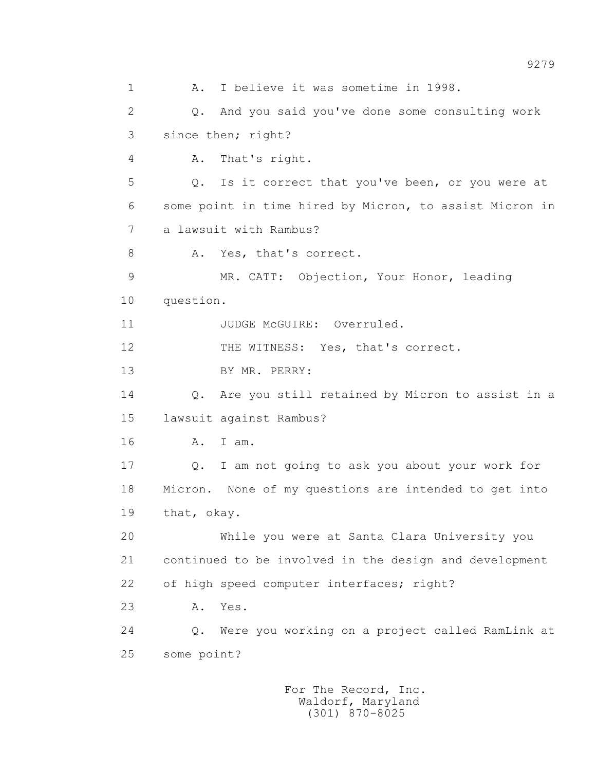1 A. I believe it was sometime in 1998. 2 Q. And you said you've done some consulting work 3 since then; right? 4 A. That's right. 5 Q. Is it correct that you've been, or you were at 6 some point in time hired by Micron, to assist Micron in 7 a lawsuit with Rambus? 8 A. Yes, that's correct. 9 MR. CATT: Objection, Your Honor, leading 10 question. 11 JUDGE McGUIRE: Overruled. 12 THE WITNESS: Yes, that's correct. 13 BY MR. PERRY: 14 Q. Are you still retained by Micron to assist in a 15 lawsuit against Rambus? 16 A. I am. 17 Q. I am not going to ask you about your work for 18 Micron. None of my questions are intended to get into 19 that, okay. 20 While you were at Santa Clara University you 21 continued to be involved in the design and development 22 of high speed computer interfaces; right? 23 A. Yes. 24 Q. Were you working on a project called RamLink at 25 some point?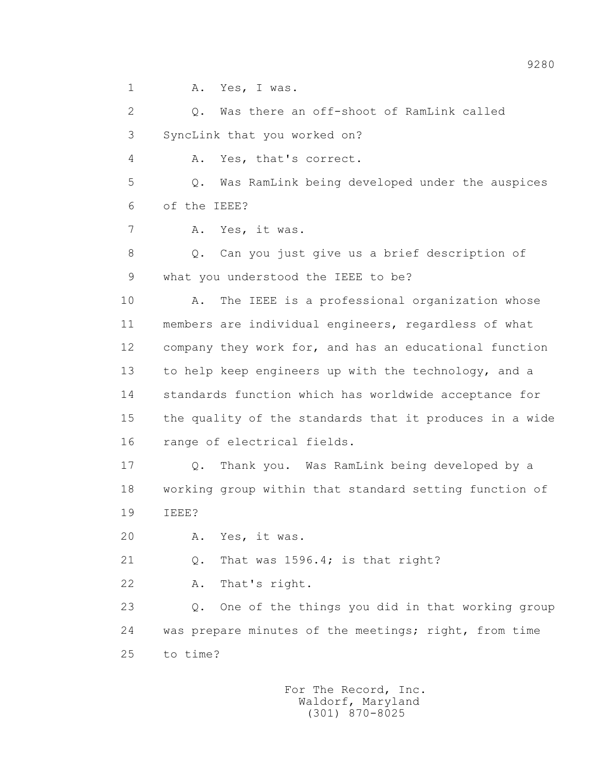1 A. Yes, I was.

 2 Q. Was there an off-shoot of RamLink called 3 SyncLink that you worked on?

4 A. Yes, that's correct.

 5 Q. Was RamLink being developed under the auspices 6 of the IEEE?

7 A. Yes, it was.

 8 Q. Can you just give us a brief description of 9 what you understood the IEEE to be?

 10 A. The IEEE is a professional organization whose 11 members are individual engineers, regardless of what 12 company they work for, and has an educational function 13 to help keep engineers up with the technology, and a 14 standards function which has worldwide acceptance for 15 the quality of the standards that it produces in a wide 16 range of electrical fields.

 17 Q. Thank you. Was RamLink being developed by a 18 working group within that standard setting function of 19 IEEE?

20 A. Yes, it was.

21 Q. That was 1596.4; is that right?

22 A. That's right.

 23 Q. One of the things you did in that working group 24 was prepare minutes of the meetings; right, from time 25 to time?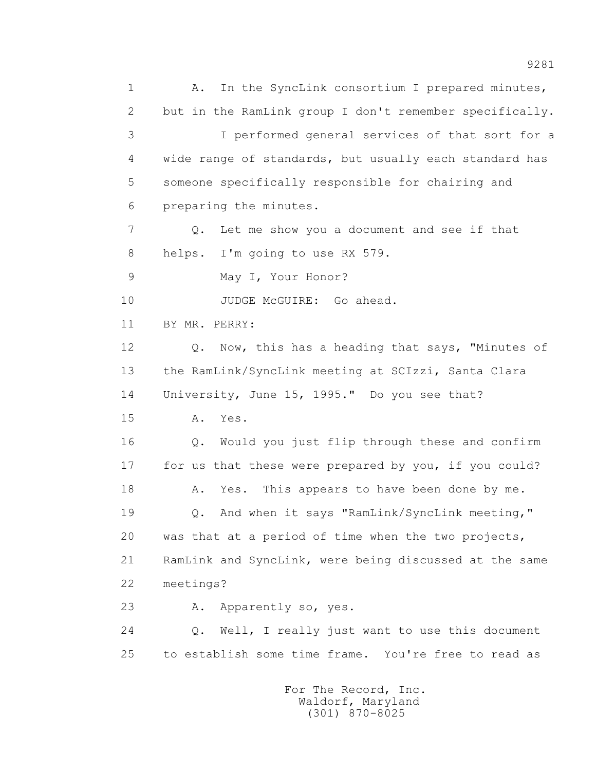1 A. In the SyncLink consortium I prepared minutes, 2 but in the RamLink group I don't remember specifically. 3 I performed general services of that sort for a 4 wide range of standards, but usually each standard has 5 someone specifically responsible for chairing and 6 preparing the minutes. 7 Q. Let me show you a document and see if that 8 helps. I'm going to use RX 579. 9 May I, Your Honor? 10 JUDGE McGUIRE: Go ahead. 11 BY MR. PERRY: 12 Q. Now, this has a heading that says, "Minutes of 13 the RamLink/SyncLink meeting at SCIzzi, Santa Clara 14 University, June 15, 1995." Do you see that? 15 A. Yes. 16 Q. Would you just flip through these and confirm 17 for us that these were prepared by you, if you could? 18 A. Yes. This appears to have been done by me. 19 Q. And when it says "RamLink/SyncLink meeting," 20 was that at a period of time when the two projects, 21 RamLink and SyncLink, were being discussed at the same 22 meetings? 23 A. Apparently so, yes. 24 Q. Well, I really just want to use this document 25 to establish some time frame. You're free to read as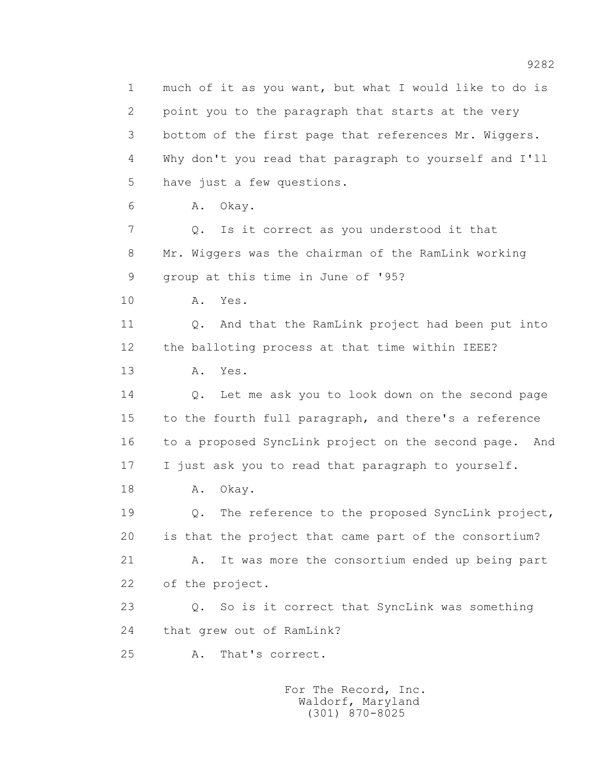1 much of it as you want, but what I would like to do is 2 point you to the paragraph that starts at the very 3 bottom of the first page that references Mr. Wiggers. 4 Why don't you read that paragraph to yourself and I'll 5 have just a few questions. 6 A. Okay. 7 Q. Is it correct as you understood it that 8 Mr. Wiggers was the chairman of the RamLink working 9 group at this time in June of '95? 10 A. Yes. 11 Q. And that the RamLink project had been put into 12 the balloting process at that time within IEEE? 13 A. Yes. 14 Q. Let me ask you to look down on the second page 15 to the fourth full paragraph, and there's a reference 16 to a proposed SyncLink project on the second page. And 17 I just ask you to read that paragraph to yourself. 18 A. Okay. 19 2. The reference to the proposed SyncLink project, 20 is that the project that came part of the consortium? 21 A. It was more the consortium ended up being part 22 of the project. 23 Q. So is it correct that SyncLink was something 24 that grew out of RamLink? 25 A. That's correct.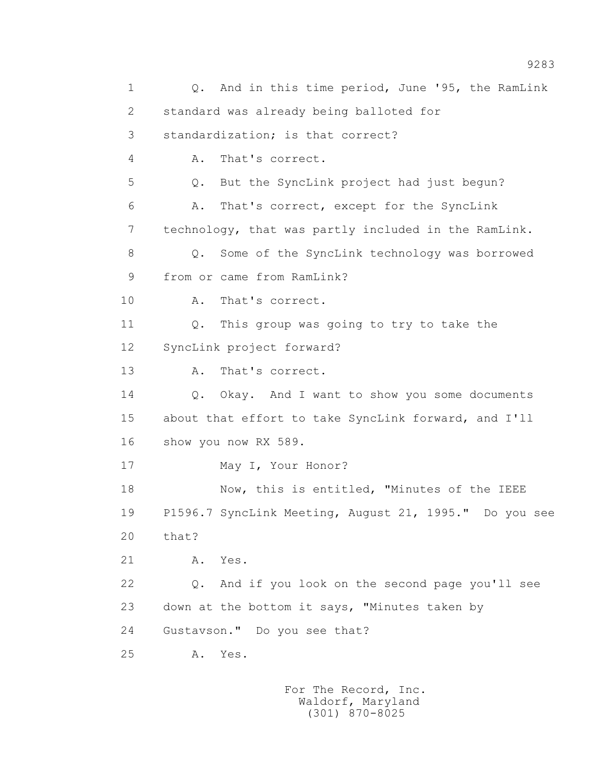1 Q. And in this time period, June '95, the RamLink 2 standard was already being balloted for 3 standardization; is that correct? 4 A. That's correct. 5 Q. But the SyncLink project had just begun? 6 A. That's correct, except for the SyncLink 7 technology, that was partly included in the RamLink. 8 Q. Some of the SyncLink technology was borrowed 9 from or came from RamLink? 10 A. That's correct. 11 Q. This group was going to try to take the 12 SyncLink project forward? 13 A. That's correct. 14 Q. Okay. And I want to show you some documents 15 about that effort to take SyncLink forward, and I'll 16 show you now RX 589. 17 May I, Your Honor? 18 Now, this is entitled, "Minutes of the IEEE 19 P1596.7 SyncLink Meeting, August 21, 1995." Do you see 20 that? 21 A. Yes. 22 Q. And if you look on the second page you'll see 23 down at the bottom it says, "Minutes taken by 24 Gustavson." Do you see that? 25 A. Yes.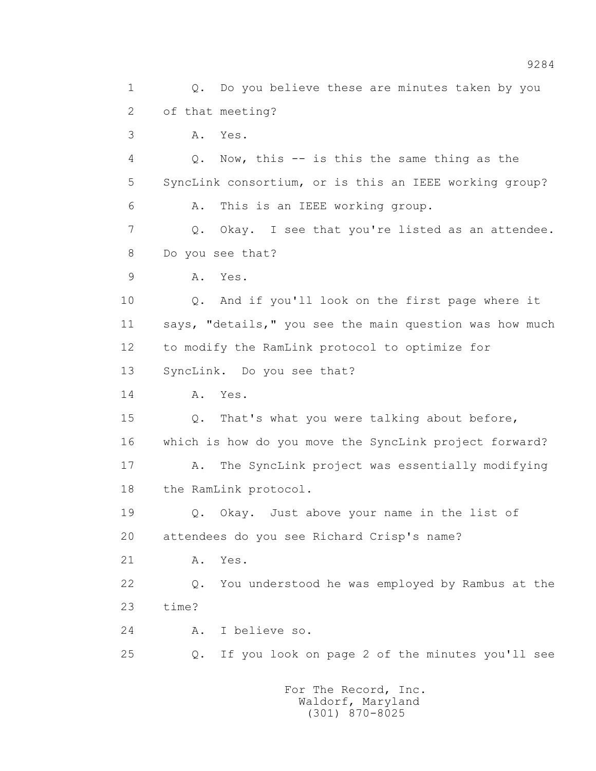1 Q. Do you believe these are minutes taken by you 2 of that meeting? 3 A. Yes. 4 Q. Now, this -- is this the same thing as the 5 SyncLink consortium, or is this an IEEE working group? 6 A. This is an IEEE working group. 7 Q. Okay. I see that you're listed as an attendee. 8 Do you see that? 9 A. Yes. 10 Q. And if you'll look on the first page where it 11 says, "details," you see the main question was how much 12 to modify the RamLink protocol to optimize for 13 SyncLink. Do you see that? 14 A. Yes. 15 Q. That's what you were talking about before, 16 which is how do you move the SyncLink project forward? 17 A. The SyncLink project was essentially modifying 18 the RamLink protocol. 19 Q. Okay. Just above your name in the list of 20 attendees do you see Richard Crisp's name? 21 A. Yes. 22 Q. You understood he was employed by Rambus at the 23 time? 24 A. I believe so. 25 Q. If you look on page 2 of the minutes you'll see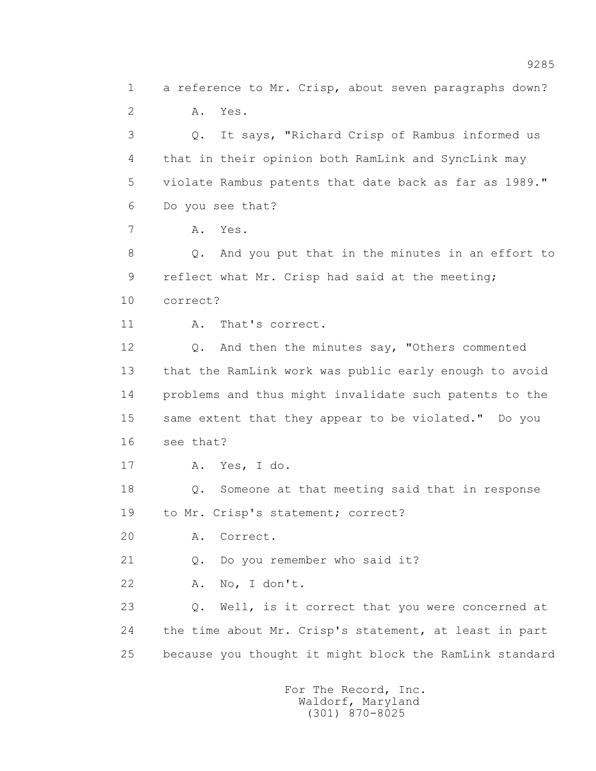1 a reference to Mr. Crisp, about seven paragraphs down? 2 A. Yes.

 3 Q. It says, "Richard Crisp of Rambus informed us 4 that in their opinion both RamLink and SyncLink may 5 violate Rambus patents that date back as far as 1989." 6 Do you see that?

7 A. Yes.

 8 Q. And you put that in the minutes in an effort to 9 reflect what Mr. Crisp had said at the meeting; 10 correct?

11 A. That's correct.

 12 Q. And then the minutes say, "Others commented 13 that the RamLink work was public early enough to avoid 14 problems and thus might invalidate such patents to the 15 same extent that they appear to be violated." Do you 16 see that?

17 A. Yes, I do.

 18 Q. Someone at that meeting said that in response 19 to Mr. Crisp's statement; correct?

20 A. Correct.

21 Q. Do you remember who said it?

22 A. No, I don't.

 23 Q. Well, is it correct that you were concerned at 24 the time about Mr. Crisp's statement, at least in part 25 because you thought it might block the RamLink standard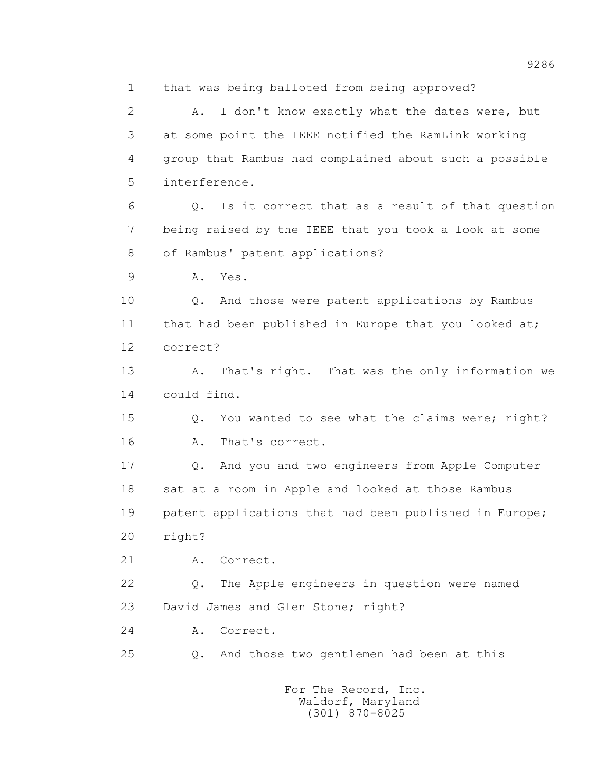1 that was being balloted from being approved? 2 A. I don't know exactly what the dates were, but 3 at some point the IEEE notified the RamLink working 4 group that Rambus had complained about such a possible 5 interference. 6 Q. Is it correct that as a result of that question 7 being raised by the IEEE that you took a look at some 8 of Rambus' patent applications? 9 A. Yes. 10 Q. And those were patent applications by Rambus 11 that had been published in Europe that you looked at; 12 correct? 13 A. That's right. That was the only information we 14 could find. 15 Q. You wanted to see what the claims were; right? 16 A. That's correct. 17 Q. And you and two engineers from Apple Computer 18 sat at a room in Apple and looked at those Rambus 19 patent applications that had been published in Europe; 20 right? 21 A. Correct. 22 Q. The Apple engineers in question were named 23 David James and Glen Stone; right? 24 A. Correct. 25 Q. And those two gentlemen had been at this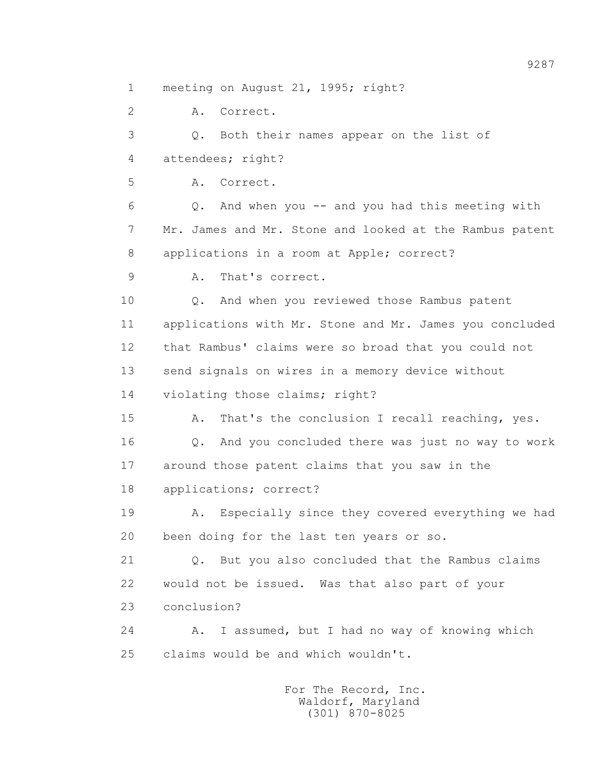1 meeting on August 21, 1995; right?

 2 A. Correct. 3 Q. Both their names appear on the list of 4 attendees; right? 5 A. Correct. 6 Q. And when you -- and you had this meeting with 7 Mr. James and Mr. Stone and looked at the Rambus patent 8 applications in a room at Apple; correct? 9 A. That's correct. 10 Q. And when you reviewed those Rambus patent 11 applications with Mr. Stone and Mr. James you concluded 12 that Rambus' claims were so broad that you could not 13 send signals on wires in a memory device without 14 violating those claims; right? 15 A. That's the conclusion I recall reaching, yes. 16 Q. And you concluded there was just no way to work 17 around those patent claims that you saw in the 18 applications; correct? 19 A. Especially since they covered everything we had 20 been doing for the last ten years or so. 21 Q. But you also concluded that the Rambus claims 22 would not be issued. Was that also part of your 23 conclusion? 24 A. I assumed, but I had no way of knowing which 25 claims would be and which wouldn't.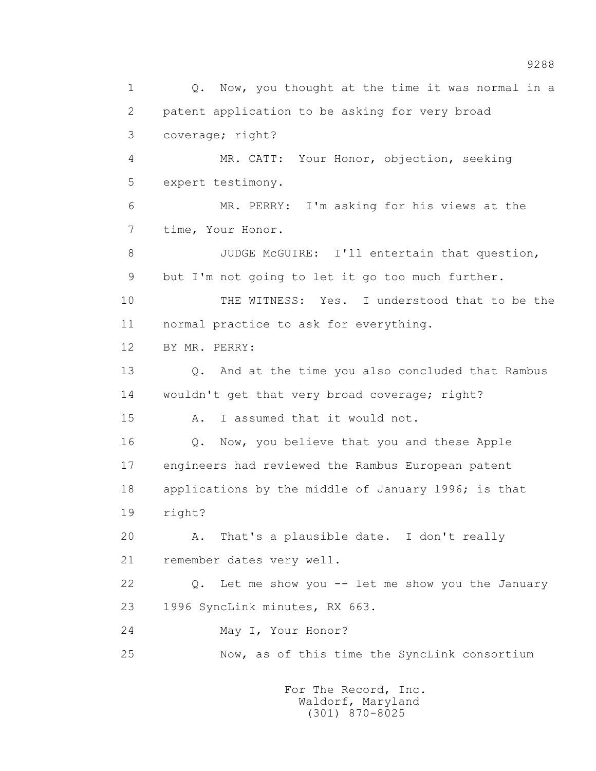1 0. Now, you thought at the time it was normal in a 2 patent application to be asking for very broad 3 coverage; right? 4 MR. CATT: Your Honor, objection, seeking 5 expert testimony. 6 MR. PERRY: I'm asking for his views at the 7 time, Your Honor. 8 JUDGE McGUIRE: I'll entertain that question, 9 but I'm not going to let it go too much further. 10 THE WITNESS: Yes. I understood that to be the 11 normal practice to ask for everything. 12 BY MR. PERRY: 13 Q. And at the time you also concluded that Rambus 14 wouldn't get that very broad coverage; right? 15 A. I assumed that it would not. 16 Q. Now, you believe that you and these Apple 17 engineers had reviewed the Rambus European patent 18 applications by the middle of January 1996; is that 19 right? 20 A. That's a plausible date. I don't really 21 remember dates very well. 22 Q. Let me show you -- let me show you the January 23 1996 SyncLink minutes, RX 663. 24 May I, Your Honor? 25 Now, as of this time the SyncLink consortium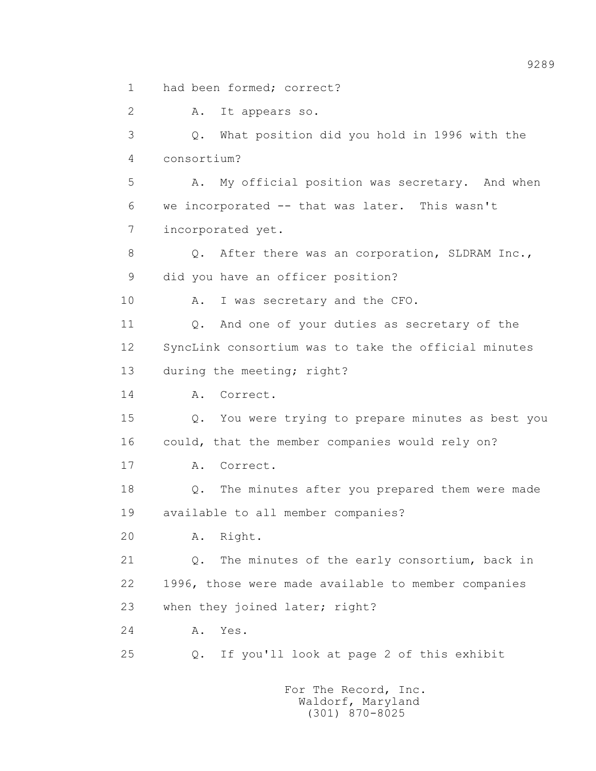1 had been formed; correct?

 2 A. It appears so. 3 Q. What position did you hold in 1996 with the 4 consortium? 5 A. My official position was secretary. And when 6 we incorporated -- that was later. This wasn't 7 incorporated yet. 8 Q. After there was an corporation, SLDRAM Inc., 9 did you have an officer position? 10 A. I was secretary and the CFO. 11 0. And one of your duties as secretary of the 12 SyncLink consortium was to take the official minutes 13 during the meeting; right? 14 A. Correct. 15 Q. You were trying to prepare minutes as best you 16 could, that the member companies would rely on? 17 A. Correct. 18 Q. The minutes after you prepared them were made 19 available to all member companies? 20 A. Right. 21 Q. The minutes of the early consortium, back in 22 1996, those were made available to member companies 23 when they joined later; right? 24 A. Yes. 25 Q. If you'll look at page 2 of this exhibit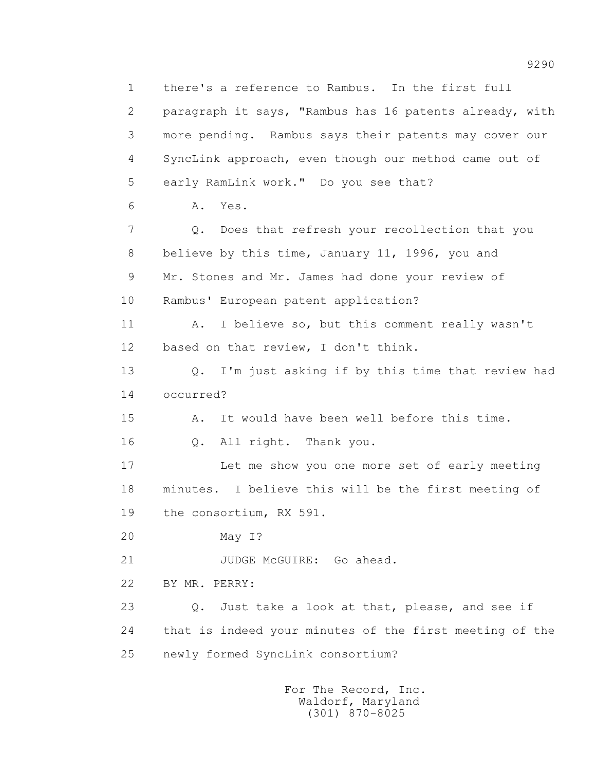1 there's a reference to Rambus. In the first full 2 paragraph it says, "Rambus has 16 patents already, with 3 more pending. Rambus says their patents may cover our 4 SyncLink approach, even though our method came out of 5 early RamLink work." Do you see that? 6 A. Yes. 7 Q. Does that refresh your recollection that you 8 believe by this time, January 11, 1996, you and 9 Mr. Stones and Mr. James had done your review of 10 Rambus' European patent application? 11 A. I believe so, but this comment really wasn't 12 based on that review, I don't think. 13 Q. I'm just asking if by this time that review had 14 occurred? 15 A. It would have been well before this time. 16 Q. All right. Thank you. 17 Let me show you one more set of early meeting 18 minutes. I believe this will be the first meeting of 19 the consortium, RX 591. 20 May I? 21 JUDGE McGUIRE: Go ahead. 22 BY MR. PERRY: 23 Q. Just take a look at that, please, and see if 24 that is indeed your minutes of the first meeting of the 25 newly formed SyncLink consortium?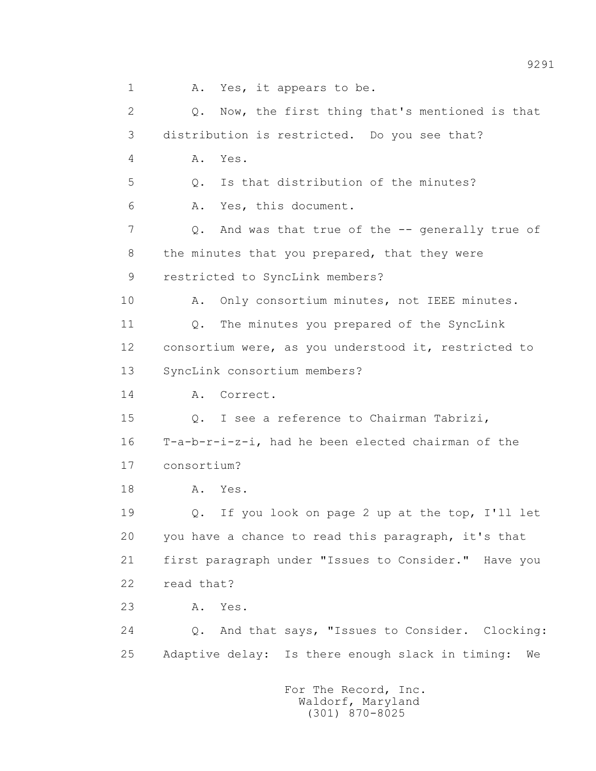1 A. Yes, it appears to be. 2 Q. Now, the first thing that's mentioned is that 3 distribution is restricted. Do you see that? 4 A. Yes. 5 Q. Is that distribution of the minutes? 6 A. Yes, this document. 7 Q. And was that true of the -- generally true of 8 the minutes that you prepared, that they were 9 restricted to SyncLink members? 10 A. Only consortium minutes, not IEEE minutes. 11 Q. The minutes you prepared of the SyncLink 12 consortium were, as you understood it, restricted to 13 SyncLink consortium members? 14 A. Correct. 15 Q. I see a reference to Chairman Tabrizi, 16 T-a-b-r-i-z-i, had he been elected chairman of the 17 consortium? 18 A. Yes. 19 Q. If you look on page 2 up at the top, I'll let 20 you have a chance to read this paragraph, it's that 21 first paragraph under "Issues to Consider." Have you 22 read that? 23 A. Yes. 24 Q. And that says, "Issues to Consider. Clocking: 25 Adaptive delay: Is there enough slack in timing: We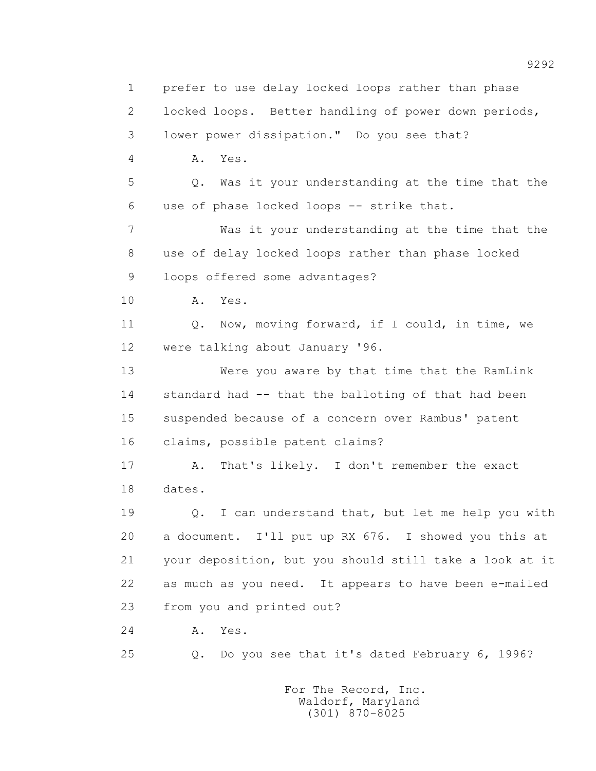1 prefer to use delay locked loops rather than phase 2 locked loops. Better handling of power down periods, 3 lower power dissipation." Do you see that? 4 A. Yes. 5 Q. Was it your understanding at the time that the 6 use of phase locked loops -- strike that. 7 Was it your understanding at the time that the 8 use of delay locked loops rather than phase locked 9 loops offered some advantages? 10 A. Yes. 11 Q. Now, moving forward, if I could, in time, we 12 were talking about January '96. 13 Were you aware by that time that the RamLink 14 standard had -- that the balloting of that had been 15 suspended because of a concern over Rambus' patent 16 claims, possible patent claims? 17 A. That's likely. I don't remember the exact 18 dates. 19 Q. I can understand that, but let me help you with 20 a document. I'll put up RX 676. I showed you this at 21 your deposition, but you should still take a look at it 22 as much as you need. It appears to have been e-mailed 23 from you and printed out? 24 A. Yes. 25 Q. Do you see that it's dated February 6, 1996? For The Record, Inc.

 Waldorf, Maryland (301) 870-8025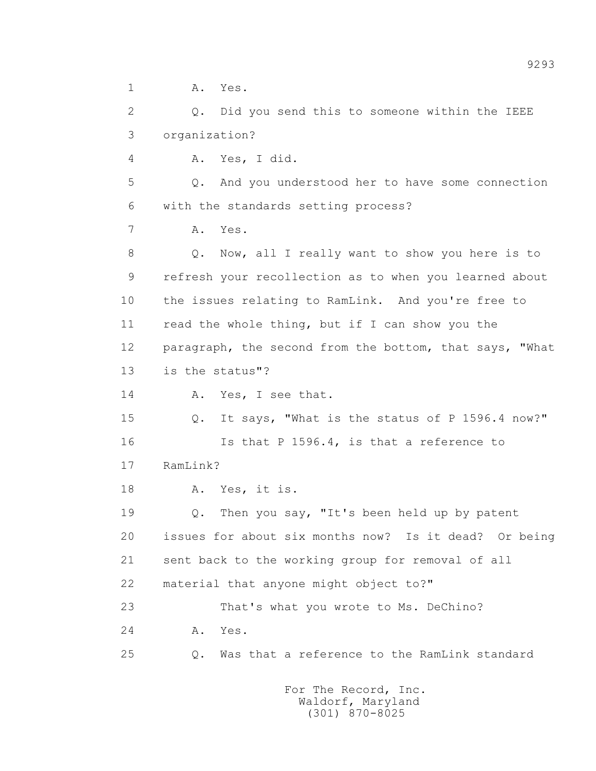1 A. Yes.

 2 Q. Did you send this to someone within the IEEE 3 organization?

4 A. Yes, I did.

 5 Q. And you understood her to have some connection 6 with the standards setting process?

7 A. Yes.

 8 Q. Now, all I really want to show you here is to 9 refresh your recollection as to when you learned about 10 the issues relating to RamLink. And you're free to 11 read the whole thing, but if I can show you the 12 paragraph, the second from the bottom, that says, "What 13 is the status"?

14 A. Yes, I see that.

 15 Q. It says, "What is the status of P 1596.4 now?" 16 Is that P 1596.4, is that a reference to 17 RamLink?

18 A. Yes, it is.

 19 Q. Then you say, "It's been held up by patent 20 issues for about six months now? Is it dead? Or being 21 sent back to the working group for removal of all 22 material that anyone might object to?" 23 That's what you wrote to Ms. DeChino?

24 A. Yes.

25 Q. Was that a reference to the RamLink standard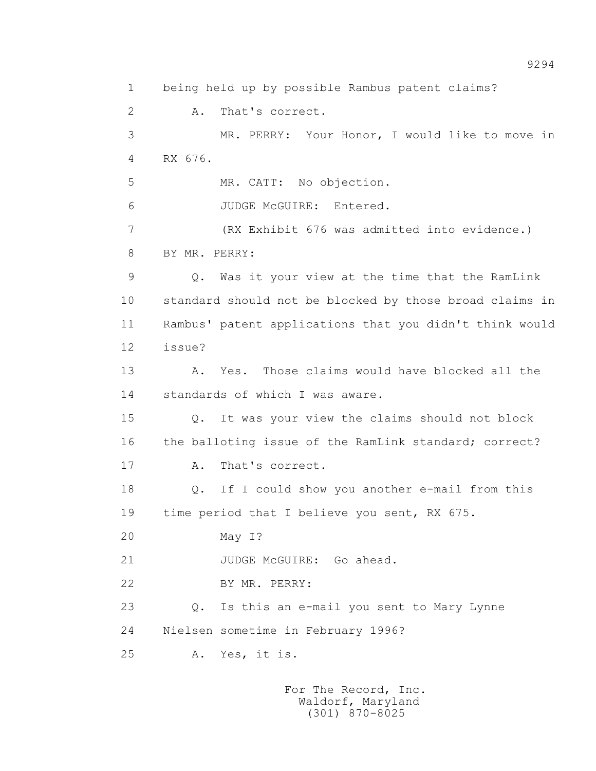1 being held up by possible Rambus patent claims? 2 A. That's correct. 3 MR. PERRY: Your Honor, I would like to move in 4 RX 676. 5 MR. CATT: No objection. 6 JUDGE McGUIRE: Entered. 7 (RX Exhibit 676 was admitted into evidence.) 8 BY MR. PERRY: 9 Q. Was it your view at the time that the RamLink 10 standard should not be blocked by those broad claims in 11 Rambus' patent applications that you didn't think would 12 issue? 13 A. Yes. Those claims would have blocked all the 14 standards of which I was aware. 15 Q. It was your view the claims should not block 16 the balloting issue of the RamLink standard; correct? 17 A. That's correct. 18 Q. If I could show you another e-mail from this 19 time period that I believe you sent, RX 675. 20 May I? 21 JUDGE McGUIRE: Go ahead. 22 BY MR. PERRY: 23 Q. Is this an e-mail you sent to Mary Lynne 24 Nielsen sometime in February 1996? 25 A. Yes, it is.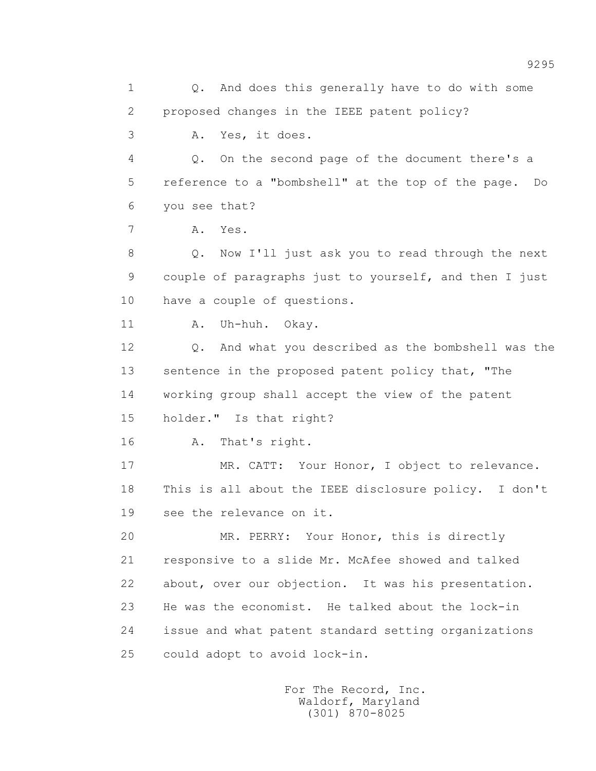1 0. And does this generally have to do with some 2 proposed changes in the IEEE patent policy? 3 A. Yes, it does. 4 Q. On the second page of the document there's a 5 reference to a "bombshell" at the top of the page. Do 6 you see that? 7 A. Yes. 8 Q. Now I'll just ask you to read through the next 9 couple of paragraphs just to yourself, and then I just 10 have a couple of questions. 11 A. Uh-huh. Okay. 12 Q. And what you described as the bombshell was the 13 sentence in the proposed patent policy that, "The 14 working group shall accept the view of the patent 15 holder." Is that right? 16 A. That's right. 17 MR. CATT: Your Honor, I object to relevance. 18 This is all about the IEEE disclosure policy. I don't 19 see the relevance on it. 20 MR. PERRY: Your Honor, this is directly 21 responsive to a slide Mr. McAfee showed and talked 22 about, over our objection. It was his presentation. 23 He was the economist. He talked about the lock-in 24 issue and what patent standard setting organizations 25 could adopt to avoid lock-in.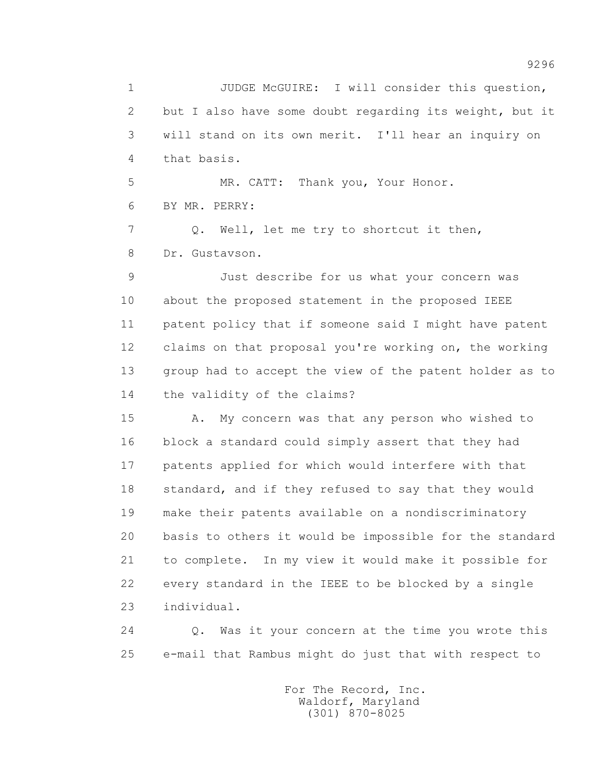1 JUDGE McGUIRE: I will consider this question, 2 but I also have some doubt regarding its weight, but it 3 will stand on its own merit. I'll hear an inquiry on 4 that basis. 5 MR. CATT: Thank you, Your Honor. 6 BY MR. PERRY: 7 Q. Well, let me try to shortcut it then, 8 Dr. Gustavson. 9 Just describe for us what your concern was 10 about the proposed statement in the proposed IEEE 11 patent policy that if someone said I might have patent 12 claims on that proposal you're working on, the working 13 group had to accept the view of the patent holder as to 14 the validity of the claims? 15 A. My concern was that any person who wished to

 16 block a standard could simply assert that they had 17 patents applied for which would interfere with that 18 standard, and if they refused to say that they would 19 make their patents available on a nondiscriminatory 20 basis to others it would be impossible for the standard 21 to complete. In my view it would make it possible for 22 every standard in the IEEE to be blocked by a single 23 individual.

 24 Q. Was it your concern at the time you wrote this 25 e-mail that Rambus might do just that with respect to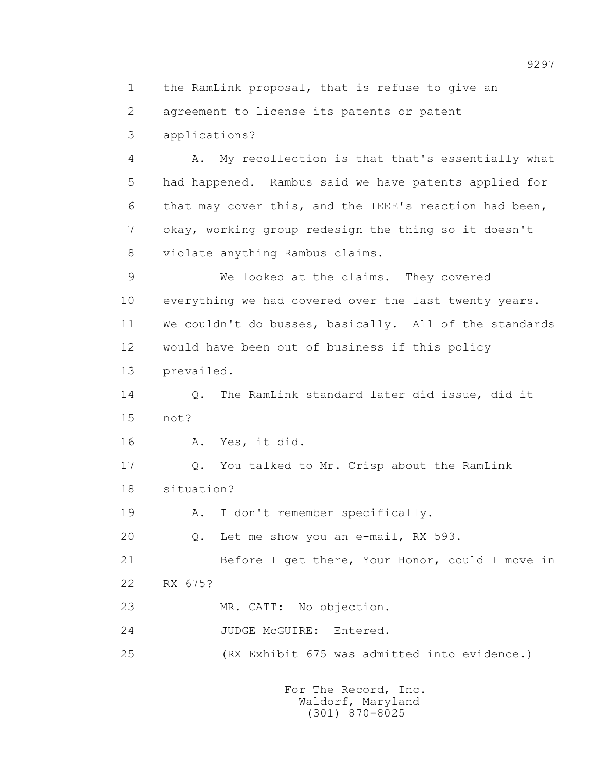1 the RamLink proposal, that is refuse to give an 2 agreement to license its patents or patent 3 applications? 4 A. My recollection is that that's essentially what 5 had happened. Rambus said we have patents applied for 6 that may cover this, and the IEEE's reaction had been, 7 okay, working group redesign the thing so it doesn't 8 violate anything Rambus claims. 9 We looked at the claims. They covered 10 everything we had covered over the last twenty years. 11 We couldn't do busses, basically. All of the standards 12 would have been out of business if this policy 13 prevailed. 14 0. The RamLink standard later did issue, did it 15 not? 16 A. Yes, it did. 17 Q. You talked to Mr. Crisp about the RamLink 18 situation? 19 A. I don't remember specifically. 20 Q. Let me show you an e-mail, RX 593. 21 Before I get there, Your Honor, could I move in 22 RX 675? 23 MR. CATT: No objection. 24 JUDGE McGUIRE: Entered. 25 (RX Exhibit 675 was admitted into evidence.)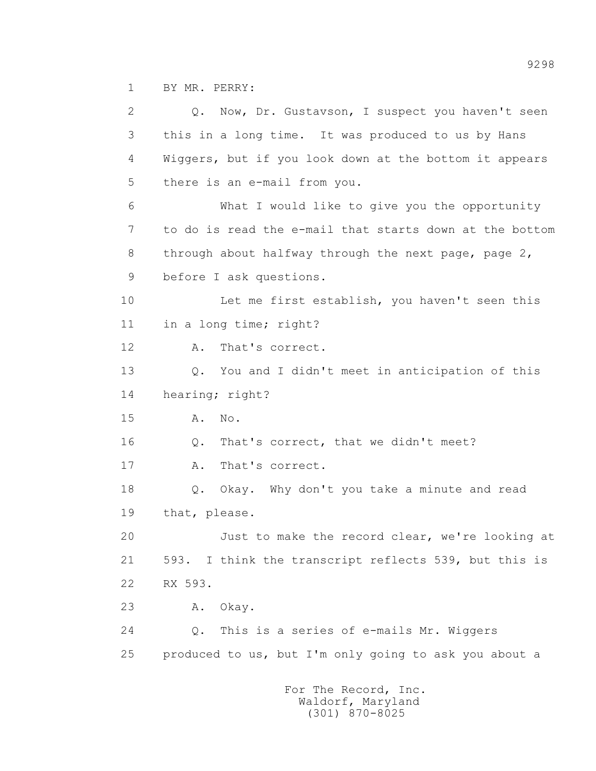1 BY MR. PERRY:

 2 Q. Now, Dr. Gustavson, I suspect you haven't seen 3 this in a long time. It was produced to us by Hans 4 Wiggers, but if you look down at the bottom it appears 5 there is an e-mail from you. 6 What I would like to give you the opportunity 7 to do is read the e-mail that starts down at the bottom 8 through about halfway through the next page, page 2, 9 before I ask questions. 10 Let me first establish, you haven't seen this 11 in a long time; right? 12 A. That's correct. 13 Q. You and I didn't meet in anticipation of this 14 hearing; right? 15 **A.** No. 16 Q. That's correct, that we didn't meet? 17 A. That's correct. 18 Q. Okay. Why don't you take a minute and read 19 that, please. 20 Just to make the record clear, we're looking at 21 593. I think the transcript reflects 539, but this is 22 RX 593. 23 A. Okay. 24 Q. This is a series of e-mails Mr. Wiggers 25 produced to us, but I'm only going to ask you about a For The Record, Inc.

 Waldorf, Maryland (301) 870-8025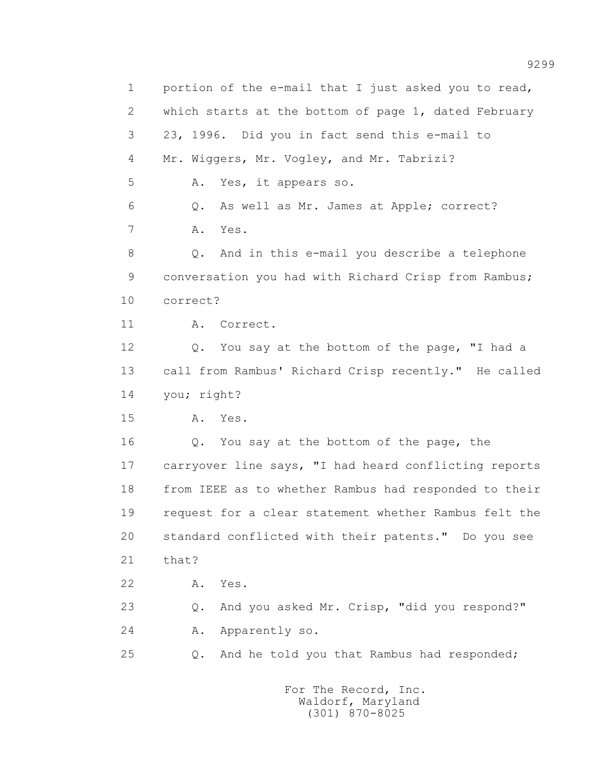1 portion of the e-mail that I just asked you to read, 2 which starts at the bottom of page 1, dated February 3 23, 1996. Did you in fact send this e-mail to 4 Mr. Wiggers, Mr. Vogley, and Mr. Tabrizi? 5 A. Yes, it appears so. 6 Q. As well as Mr. James at Apple; correct? 7 A. Yes. 8 Q. And in this e-mail you describe a telephone 9 conversation you had with Richard Crisp from Rambus; 10 correct? 11 A. Correct. 12 Q. You say at the bottom of the page, "I had a 13 call from Rambus' Richard Crisp recently." He called 14 you; right? 15 A. Yes. 16 Q. You say at the bottom of the page, the 17 carryover line says, "I had heard conflicting reports 18 from IEEE as to whether Rambus had responded to their 19 request for a clear statement whether Rambus felt the 20 standard conflicted with their patents." Do you see 21 that? 22 A. Yes. 23 Q. And you asked Mr. Crisp, "did you respond?" 24 A. Apparently so. 25 Q. And he told you that Rambus had responded; For The Record, Inc.

> Waldorf, Maryland (301) 870-8025

9299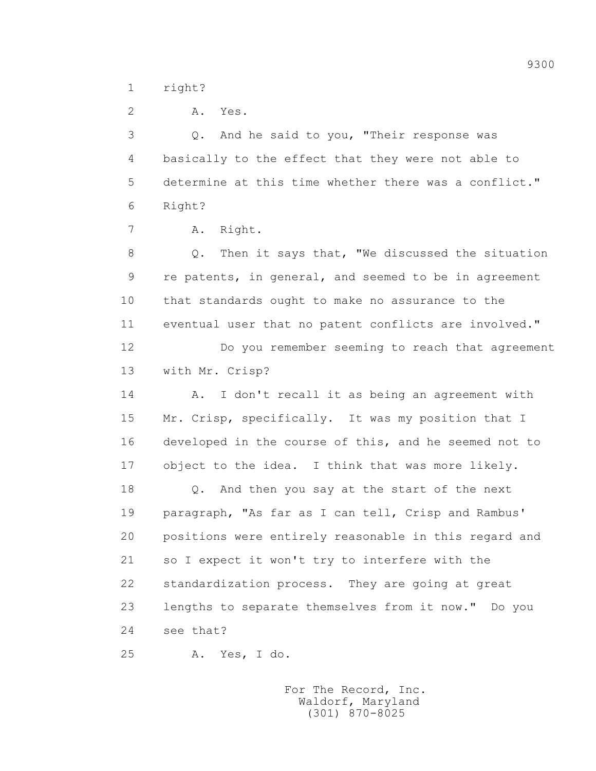1 right?

 2 A. Yes. 3 Q. And he said to you, "Their response was 4 basically to the effect that they were not able to 5 determine at this time whether there was a conflict." 6 Right? 7 A. Right.

 8 Q. Then it says that, "We discussed the situation 9 re patents, in general, and seemed to be in agreement 10 that standards ought to make no assurance to the 11 eventual user that no patent conflicts are involved."

 12 Do you remember seeming to reach that agreement 13 with Mr. Crisp?

 14 A. I don't recall it as being an agreement with 15 Mr. Crisp, specifically. It was my position that I 16 developed in the course of this, and he seemed not to 17 object to the idea. I think that was more likely.

 18 Q. And then you say at the start of the next 19 paragraph, "As far as I can tell, Crisp and Rambus' 20 positions were entirely reasonable in this regard and 21 so I expect it won't try to interfere with the 22 standardization process. They are going at great 23 lengths to separate themselves from it now." Do you 24 see that?

25 A. Yes, I do.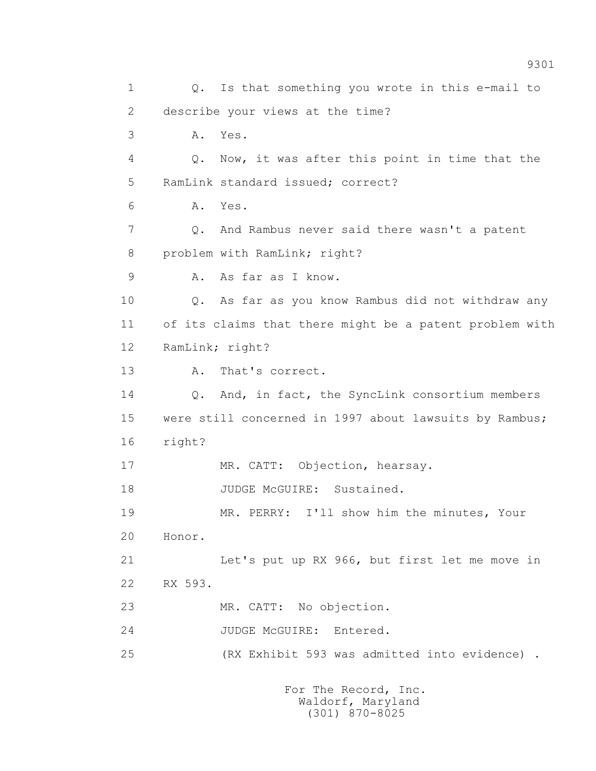1 Q. Is that something you wrote in this e-mail to 2 describe your views at the time? 3 A. Yes. 4 Q. Now, it was after this point in time that the 5 RamLink standard issued; correct? 6 A. Yes. 7 Q. And Rambus never said there wasn't a patent 8 problem with RamLink; right? 9 A. As far as I know. 10 Q. As far as you know Rambus did not withdraw any 11 of its claims that there might be a patent problem with 12 RamLink; right? 13 A. That's correct. 14 Q. And, in fact, the SyncLink consortium members 15 were still concerned in 1997 about lawsuits by Rambus; 16 right? 17 MR. CATT: Objection, hearsay. 18 JUDGE McGUIRE: Sustained. 19 MR. PERRY: I'll show him the minutes, Your 20 Honor. 21 Let's put up RX 966, but first let me move in 22 RX 593. 23 MR. CATT: No objection. 24 JUDGE McGUIRE: Entered. 25 (RX Exhibit 593 was admitted into evidence) .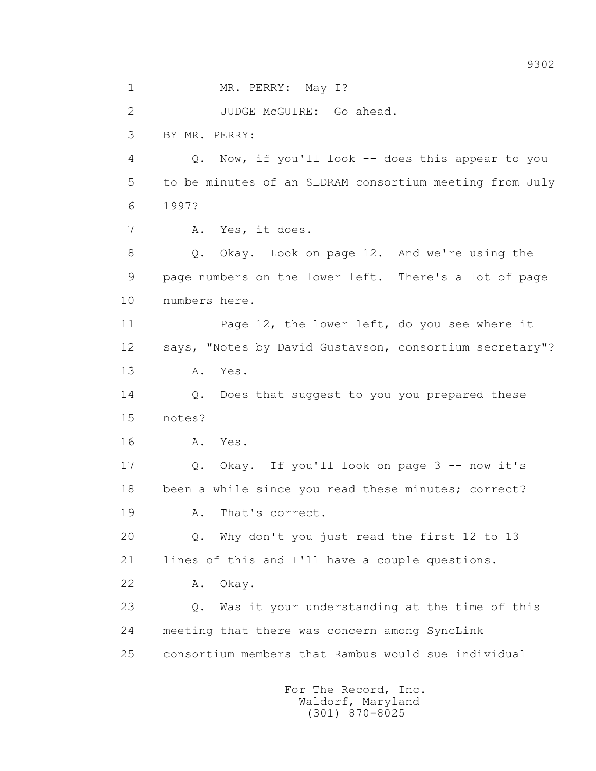1 MR. PERRY: May I? 2 JUDGE McGUIRE: Go ahead. 3 BY MR. PERRY: 4 Q. Now, if you'll look -- does this appear to you 5 to be minutes of an SLDRAM consortium meeting from July 6 1997? 7 A. Yes, it does. 8 Q. Okay. Look on page 12. And we're using the 9 page numbers on the lower left. There's a lot of page 10 numbers here. 11 Page 12, the lower left, do you see where it 12 says, "Notes by David Gustavson, consortium secretary"? 13 A. Yes. 14 Q. Does that suggest to you you prepared these 15 notes? 16 A. Yes. 17 Q. Okay. If you'll look on page 3 -- now it's 18 been a while since you read these minutes; correct? 19 A. That's correct. 20 Q. Why don't you just read the first 12 to 13 21 lines of this and I'll have a couple questions. 22 A. Okay. 23 Q. Was it your understanding at the time of this 24 meeting that there was concern among SyncLink 25 consortium members that Rambus would sue individual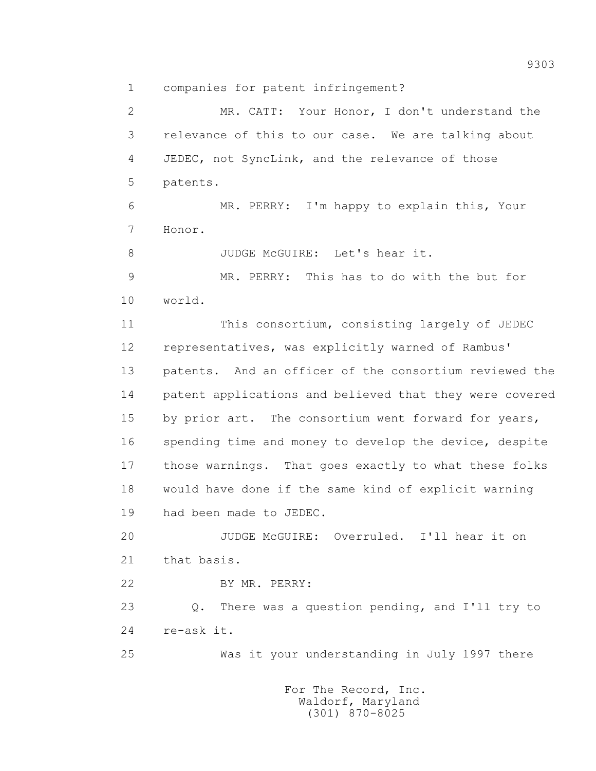1 companies for patent infringement?

 2 MR. CATT: Your Honor, I don't understand the 3 relevance of this to our case. We are talking about 4 JEDEC, not SyncLink, and the relevance of those 5 patents. 6 MR. PERRY: I'm happy to explain this, Your 7 Honor. 8 JUDGE McGUIRE: Let's hear it. 9 MR. PERRY: This has to do with the but for 10 world. 11 This consortium, consisting largely of JEDEC 12 representatives, was explicitly warned of Rambus' 13 patents. And an officer of the consortium reviewed the 14 patent applications and believed that they were covered 15 by prior art. The consortium went forward for years, 16 spending time and money to develop the device, despite 17 those warnings. That goes exactly to what these folks 18 would have done if the same kind of explicit warning 19 had been made to JEDEC. 20 JUDGE McGUIRE: Overruled. I'll hear it on 21 that basis. 22 BY MR. PERRY: 23 Q. There was a question pending, and I'll try to 24 re-ask it. 25 Was it your understanding in July 1997 there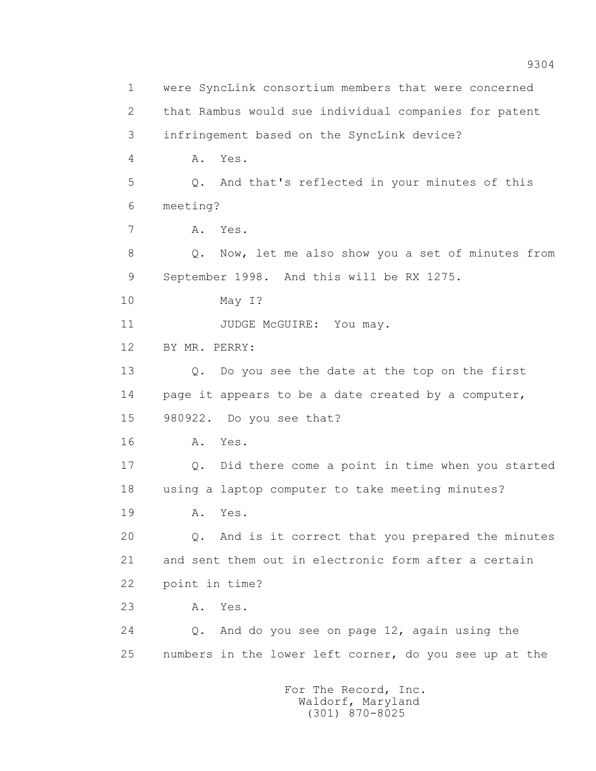1 were SyncLink consortium members that were concerned 2 that Rambus would sue individual companies for patent 3 infringement based on the SyncLink device? 4 A. Yes. 5 Q. And that's reflected in your minutes of this 6 meeting? 7 A. Yes. 8 Q. Now, let me also show you a set of minutes from 9 September 1998. And this will be RX 1275. 10 May I? 11 JUDGE McGUIRE: You may. 12 BY MR. PERRY: 13 Q. Do you see the date at the top on the first 14 page it appears to be a date created by a computer, 15 980922. Do you see that? 16 A. Yes. 17 Q. Did there come a point in time when you started 18 using a laptop computer to take meeting minutes? 19 **A.** Yes. 20 Q. And is it correct that you prepared the minutes 21 and sent them out in electronic form after a certain 22 point in time? 23 A. Yes. 24 Q. And do you see on page 12, again using the 25 numbers in the lower left corner, do you see up at the For The Record, Inc.

 Waldorf, Maryland (301) 870-8025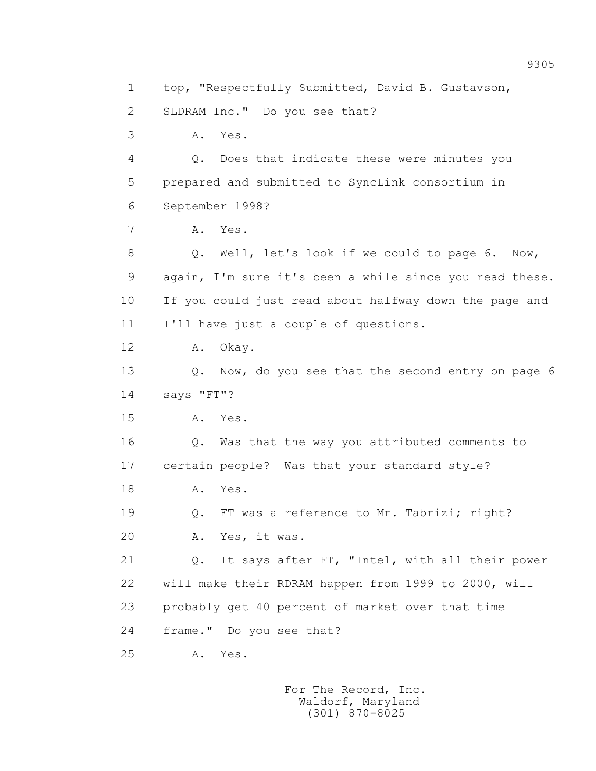1 top, "Respectfully Submitted, David B. Gustavson, 2 SLDRAM Inc." Do you see that? 3 A. Yes. 4 Q. Does that indicate these were minutes you 5 prepared and submitted to SyncLink consortium in 6 September 1998? 7 A. Yes. 8 Q. Well, let's look if we could to page 6. Now, 9 again, I'm sure it's been a while since you read these. 10 If you could just read about halfway down the page and 11 I'll have just a couple of questions. 12 A. Okay. 13 Q. Now, do you see that the second entry on page 6 14 says "FT"? 15 A. Yes. 16 Q. Was that the way you attributed comments to 17 certain people? Was that your standard style? 18 A. Yes. 19 Q. FT was a reference to Mr. Tabrizi; right? 20 A. Yes, it was. 21 Q. It says after FT, "Intel, with all their power 22 will make their RDRAM happen from 1999 to 2000, will 23 probably get 40 percent of market over that time 24 frame." Do you see that? 25 A. Yes.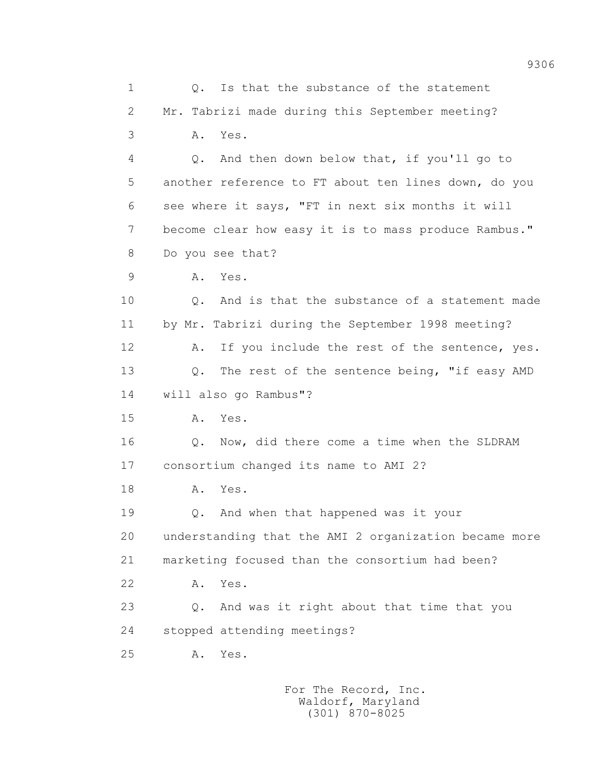1 Q. Is that the substance of the statement 2 Mr. Tabrizi made during this September meeting? 3 A. Yes. 4 Q. And then down below that, if you'll go to 5 another reference to FT about ten lines down, do you 6 see where it says, "FT in next six months it will 7 become clear how easy it is to mass produce Rambus." 8 Do you see that? 9 A. Yes. 10 Q. And is that the substance of a statement made 11 by Mr. Tabrizi during the September 1998 meeting? 12 A. If you include the rest of the sentence, yes. 13 Q. The rest of the sentence being, "if easy AMD 14 will also go Rambus"? 15 A. Yes. 16 Q. Now, did there come a time when the SLDRAM 17 consortium changed its name to AMI 2? 18 A. Yes. 19 Q. And when that happened was it your 20 understanding that the AMI 2 organization became more 21 marketing focused than the consortium had been? 22 A. Yes. 23 Q. And was it right about that time that you 24 stopped attending meetings? 25 A. Yes.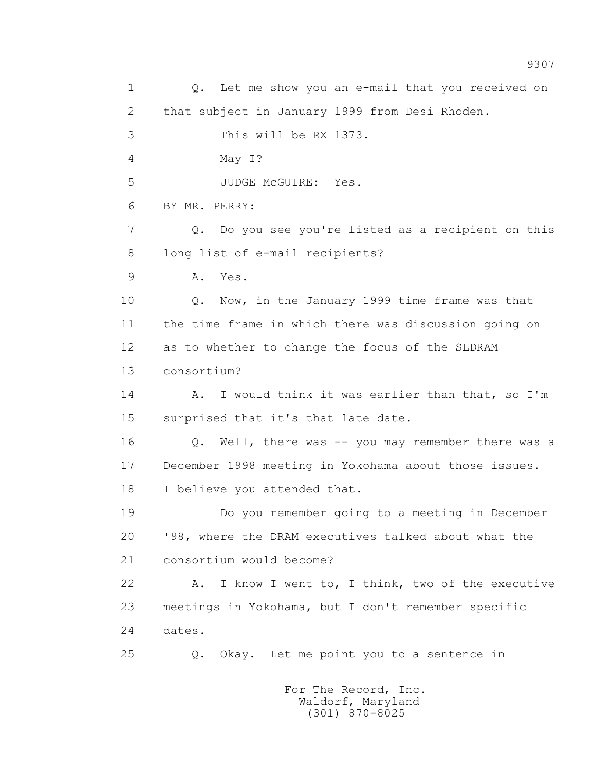1 0. Let me show you an e-mail that you received on 2 that subject in January 1999 from Desi Rhoden. 3 This will be RX 1373. 4 May I? 5 JUDGE McGUIRE: Yes. 6 BY MR. PERRY: 7 Q. Do you see you're listed as a recipient on this 8 long list of e-mail recipients? 9 A. Yes. 10 Q. Now, in the January 1999 time frame was that 11 the time frame in which there was discussion going on 12 as to whether to change the focus of the SLDRAM 13 consortium? 14 A. I would think it was earlier than that, so I'm 15 surprised that it's that late date. 16 Q. Well, there was -- you may remember there was a 17 December 1998 meeting in Yokohama about those issues. 18 I believe you attended that. 19 Do you remember going to a meeting in December 20 '98, where the DRAM executives talked about what the 21 consortium would become? 22 A. I know I went to, I think, two of the executive 23 meetings in Yokohama, but I don't remember specific 24 dates. 25 Q. Okay. Let me point you to a sentence in For The Record, Inc.

 Waldorf, Maryland (301) 870-8025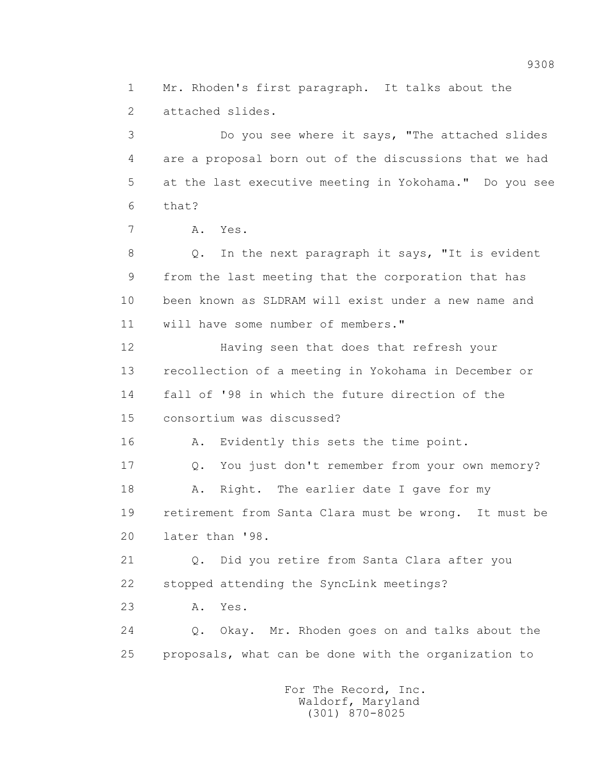2 attached slides. 3 Do you see where it says, "The attached slides 4 are a proposal born out of the discussions that we had 5 at the last executive meeting in Yokohama." Do you see 6 that? 7 A. Yes. 8 Q. In the next paragraph it says, "It is evident 9 from the last meeting that the corporation that has 10 been known as SLDRAM will exist under a new name and 11 will have some number of members." 12 Having seen that does that refresh your 13 recollection of a meeting in Yokohama in December or 14 fall of '98 in which the future direction of the 15 consortium was discussed? 16 A. Evidently this sets the time point.

1 Mr. Rhoden's first paragraph. It talks about the

 17 Q. You just don't remember from your own memory? 18 A. Right. The earlier date I gave for my 19 retirement from Santa Clara must be wrong. It must be 20 later than '98.

 21 Q. Did you retire from Santa Clara after you 22 stopped attending the SyncLink meetings?

23 A. Yes.

 24 Q. Okay. Mr. Rhoden goes on and talks about the 25 proposals, what can be done with the organization to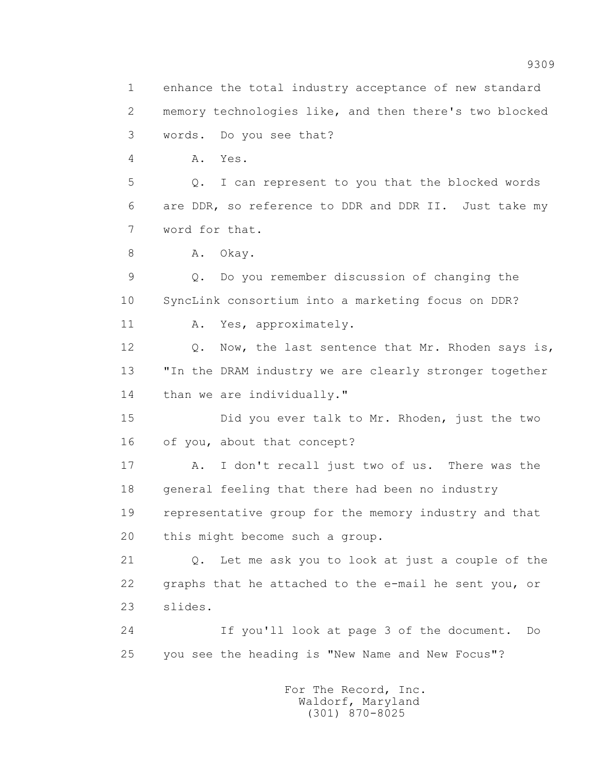2 memory technologies like, and then there's two blocked 3 words. Do you see that? 4 A. Yes. 5 Q. I can represent to you that the blocked words 6 are DDR, so reference to DDR and DDR II. Just take my 7 word for that. 8 A. Okay. 9 Q. Do you remember discussion of changing the 10 SyncLink consortium into a marketing focus on DDR? 11 A. Yes, approximately. 12 Q. Now, the last sentence that Mr. Rhoden says is, 13 "In the DRAM industry we are clearly stronger together 14 than we are individually." 15 Did you ever talk to Mr. Rhoden, just the two 16 of you, about that concept? 17 A. I don't recall just two of us. There was the 18 general feeling that there had been no industry 19 representative group for the memory industry and that 20 this might become such a group. 21 Q. Let me ask you to look at just a couple of the 22 graphs that he attached to the e-mail he sent you, or 23 slides. 24 If you'll look at page 3 of the document. Do 25 you see the heading is "New Name and New Focus"?

1 enhance the total industry acceptance of new standard

 For The Record, Inc. Waldorf, Maryland (301) 870-8025

9309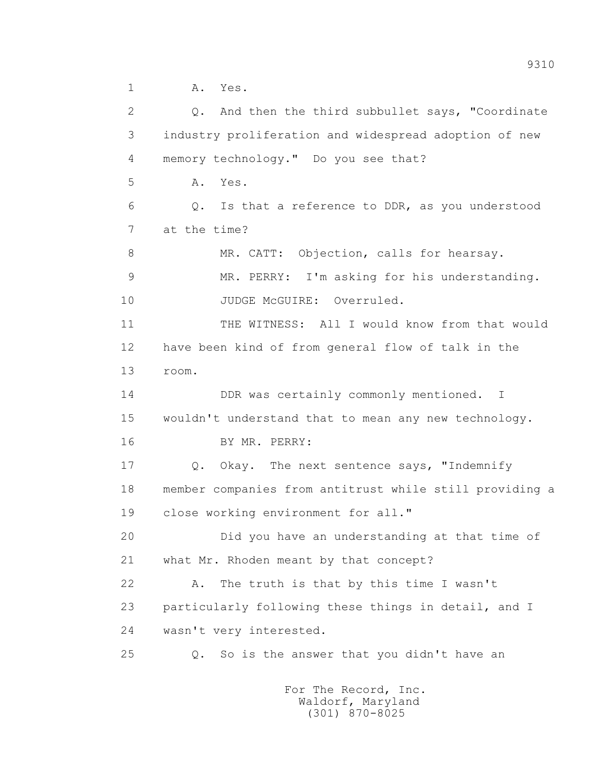1 A. Yes. 2 Q. And then the third subbullet says, "Coordinate 3 industry proliferation and widespread adoption of new 4 memory technology." Do you see that? 5 A. Yes. 6 Q. Is that a reference to DDR, as you understood 7 at the time? 8 MR. CATT: Objection, calls for hearsay. 9 MR. PERRY: I'm asking for his understanding. 10 JUDGE McGUIRE: Overruled. 11 THE WITNESS: All I would know from that would 12 have been kind of from general flow of talk in the 13 room. 14 DDR was certainly commonly mentioned. I 15 wouldn't understand that to mean any new technology. 16 BY MR. PERRY: 17 Q. Okay. The next sentence says, "Indemnify 18 member companies from antitrust while still providing a 19 close working environment for all." 20 Did you have an understanding at that time of 21 what Mr. Rhoden meant by that concept? 22 A. The truth is that by this time I wasn't 23 particularly following these things in detail, and I 24 wasn't very interested. 25 Q. So is the answer that you didn't have an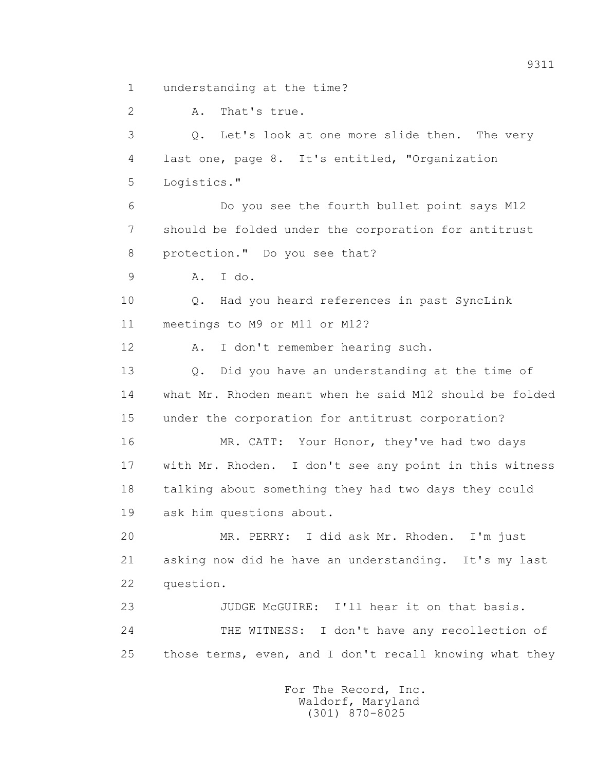1 understanding at the time?

 2 A. That's true. 3 Q. Let's look at one more slide then. The very 4 last one, page 8. It's entitled, "Organization 5 Logistics." 6 Do you see the fourth bullet point says M12 7 should be folded under the corporation for antitrust 8 protection." Do you see that? 9 A. I do. 10 Q. Had you heard references in past SyncLink 11 meetings to M9 or M11 or M12? 12 A. I don't remember hearing such. 13 Q. Did you have an understanding at the time of 14 what Mr. Rhoden meant when he said M12 should be folded 15 under the corporation for antitrust corporation? 16 MR. CATT: Your Honor, they've had two days 17 with Mr. Rhoden. I don't see any point in this witness 18 talking about something they had two days they could 19 ask him questions about. 20 MR. PERRY: I did ask Mr. Rhoden. I'm just 21 asking now did he have an understanding. It's my last 22 question. 23 JUDGE McGUIRE: I'll hear it on that basis. 24 THE WITNESS: I don't have any recollection of 25 those terms, even, and I don't recall knowing what they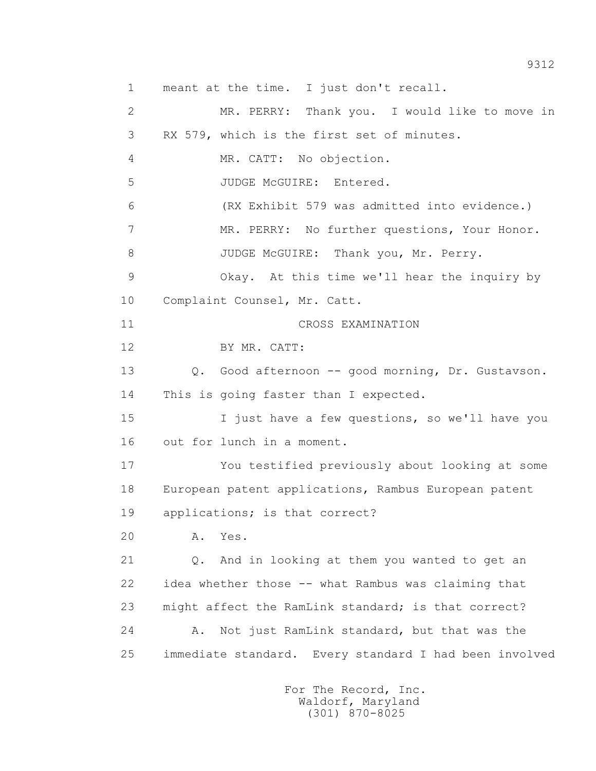1 meant at the time. I just don't recall. 2 MR. PERRY: Thank you. I would like to move in 3 RX 579, which is the first set of minutes. 4 MR. CATT: No objection. 5 JUDGE McGUIRE: Entered. 6 (RX Exhibit 579 was admitted into evidence.) 7 MR. PERRY: No further questions, Your Honor. 8 JUDGE McGUIRE: Thank you, Mr. Perry. 9 Okay. At this time we'll hear the inquiry by 10 Complaint Counsel, Mr. Catt. 11 CROSS EXAMINATION 12 BY MR. CATT: 13 Q. Good afternoon -- good morning, Dr. Gustavson. 14 This is going faster than I expected. 15 I just have a few questions, so we'll have you 16 out for lunch in a moment. 17 You testified previously about looking at some 18 European patent applications, Rambus European patent 19 applications; is that correct? 20 A. Yes. 21 Q. And in looking at them you wanted to get an 22 idea whether those -- what Rambus was claiming that 23 might affect the RamLink standard; is that correct? 24 A. Not just RamLink standard, but that was the 25 immediate standard. Every standard I had been involved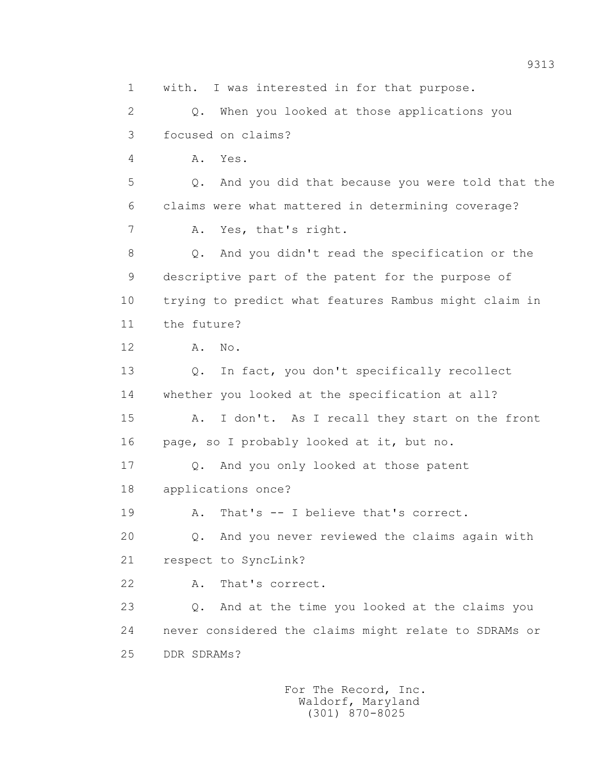1 with. I was interested in for that purpose. 2 Q. When you looked at those applications you 3 focused on claims? 4 A. Yes. 5 Q. And you did that because you were told that the 6 claims were what mattered in determining coverage? 7 A. Yes, that's right. 8 Q. And you didn't read the specification or the 9 descriptive part of the patent for the purpose of 10 trying to predict what features Rambus might claim in 11 the future? 12 A. No. 13 Q. In fact, you don't specifically recollect 14 whether you looked at the specification at all? 15 A. I don't. As I recall they start on the front 16 page, so I probably looked at it, but no. 17 Q. And you only looked at those patent 18 applications once? 19 A. That's -- I believe that's correct. 20 Q. And you never reviewed the claims again with 21 respect to SyncLink? 22 A. That's correct. 23 Q. And at the time you looked at the claims you 24 never considered the claims might relate to SDRAMs or 25 DDR SDRAMs?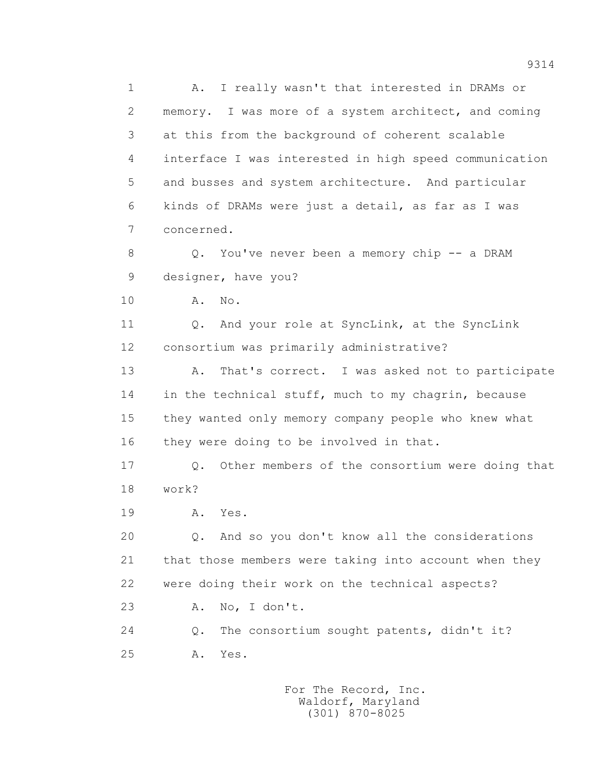1 A. I really wasn't that interested in DRAMs or 2 memory. I was more of a system architect, and coming 3 at this from the background of coherent scalable 4 interface I was interested in high speed communication 5 and busses and system architecture. And particular 6 kinds of DRAMs were just a detail, as far as I was 7 concerned. 8 Q. You've never been a memory chip -- a DRAM 9 designer, have you? 10 A. No. 11 0. And your role at SyncLink, at the SyncLink 12 consortium was primarily administrative? 13 A. That's correct. I was asked not to participate 14 in the technical stuff, much to my chagrin, because 15 they wanted only memory company people who knew what 16 they were doing to be involved in that. 17 Q. Other members of the consortium were doing that 18 work? 19 **A.** Yes. 20 Q. And so you don't know all the considerations 21 that those members were taking into account when they 22 were doing their work on the technical aspects? 23 A. No, I don't. 24 Q. The consortium sought patents, didn't it? 25 A. Yes.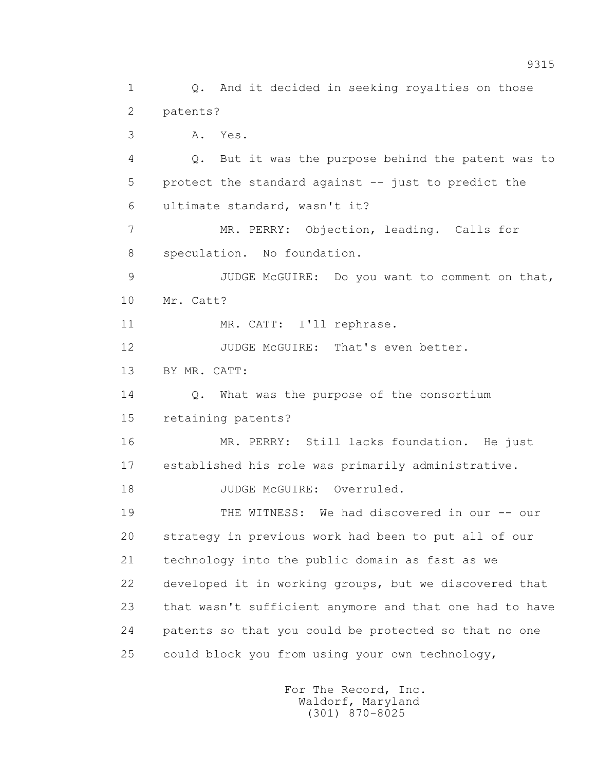1 Q. And it decided in seeking royalties on those 2 patents? 3 A. Yes. 4 Q. But it was the purpose behind the patent was to 5 protect the standard against -- just to predict the 6 ultimate standard, wasn't it? 7 MR. PERRY: Objection, leading. Calls for 8 speculation. No foundation. 9 JUDGE McGUIRE: Do you want to comment on that, 10 Mr. Catt? 11 MR. CATT: I'll rephrase. 12 JUDGE McGUIRE: That's even better. 13 BY MR. CATT: 14 Q. What was the purpose of the consortium 15 retaining patents? 16 MR. PERRY: Still lacks foundation. He just 17 established his role was primarily administrative. 18 JUDGE McGUIRE: Overruled. 19 THE WITNESS: We had discovered in our -- our 20 strategy in previous work had been to put all of our 21 technology into the public domain as fast as we 22 developed it in working groups, but we discovered that 23 that wasn't sufficient anymore and that one had to have 24 patents so that you could be protected so that no one 25 could block you from using your own technology,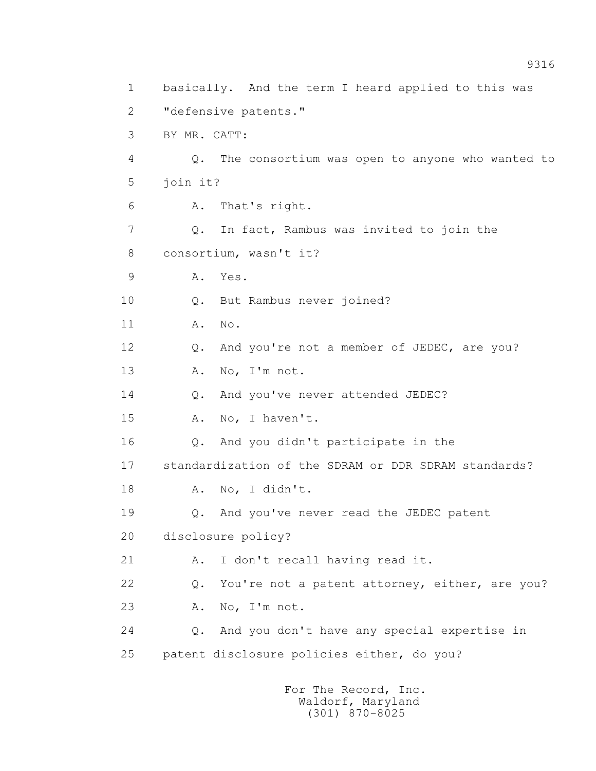1 basically. And the term I heard applied to this was 2 "defensive patents." 3 BY MR. CATT: 4 Q. The consortium was open to anyone who wanted to 5 join it? 6 A. That's right. 7 Q. In fact, Rambus was invited to join the 8 consortium, wasn't it? 9 A. Yes. 10 Q. But Rambus never joined? 11 A. No. 12 Q. And you're not a member of JEDEC, are you? 13 A. No, I'm not. 14 Q. And you've never attended JEDEC? 15 A. No, I haven't. 16 Q. And you didn't participate in the 17 standardization of the SDRAM or DDR SDRAM standards? 18 A. No, I didn't. 19 Q. And you've never read the JEDEC patent 20 disclosure policy? 21 A. I don't recall having read it. 22 Q. You're not a patent attorney, either, are you? 23 A. No, I'm not. 24 Q. And you don't have any special expertise in 25 patent disclosure policies either, do you?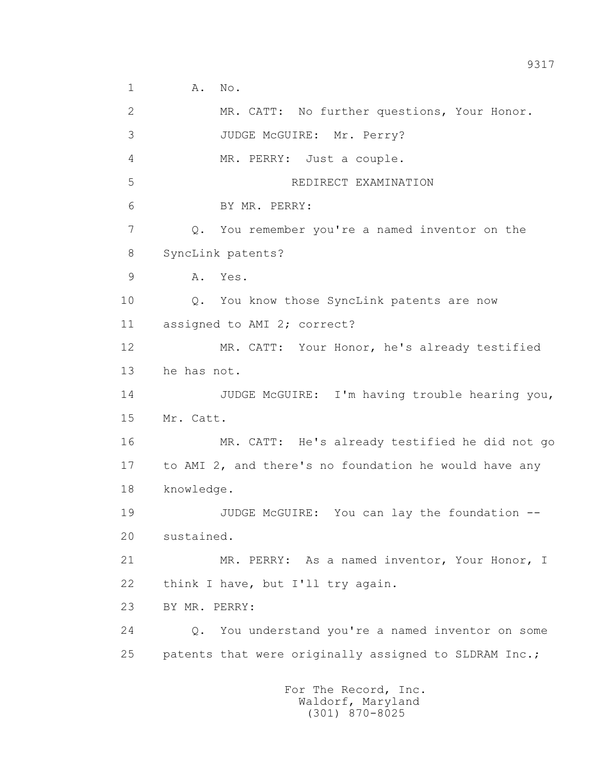1 **A.** No. 2 MR. CATT: No further questions, Your Honor. 3 JUDGE McGUIRE: Mr. Perry? 4 MR. PERRY: Just a couple. 5 REDIRECT EXAMINATION 6 BY MR. PERRY: 7 Q. You remember you're a named inventor on the 8 SyncLink patents? 9 A. Yes. 10 Q. You know those SyncLink patents are now 11 assigned to AMI 2; correct? 12 MR. CATT: Your Honor, he's already testified 13 he has not. 14 JUDGE McGUIRE: I'm having trouble hearing you, 15 Mr. Catt. 16 MR. CATT: He's already testified he did not go 17 to AMI 2, and there's no foundation he would have any 18 knowledge. 19 JUDGE McGUIRE: You can lay the foundation -- 20 sustained. 21 MR. PERRY: As a named inventor, Your Honor, I 22 think I have, but I'll try again. 23 BY MR. PERRY: 24 Q. You understand you're a named inventor on some 25 patents that were originally assigned to SLDRAM Inc.; For The Record, Inc.

 Waldorf, Maryland (301) 870-8025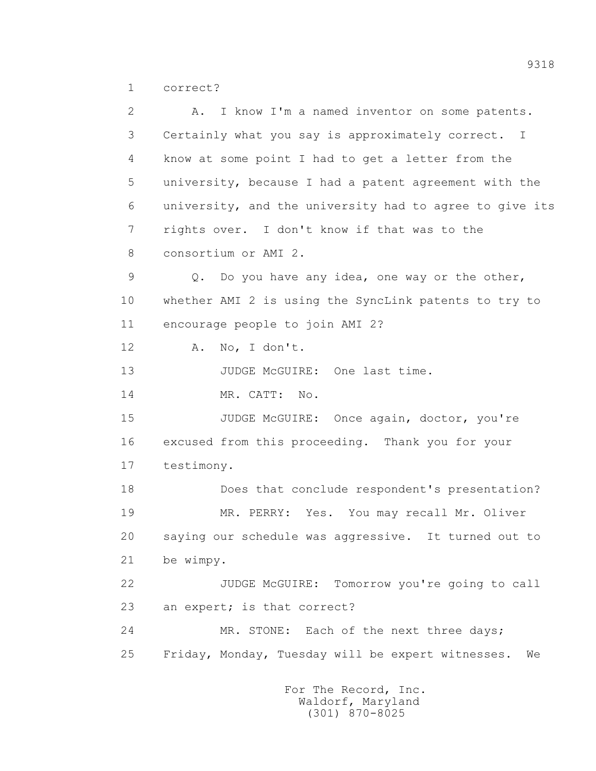1 correct?

 2 A. I know I'm a named inventor on some patents. 3 Certainly what you say is approximately correct. I 4 know at some point I had to get a letter from the 5 university, because I had a patent agreement with the 6 university, and the university had to agree to give its 7 rights over. I don't know if that was to the 8 consortium or AMI 2. 9 Q. Do you have any idea, one way or the other, 10 whether AMI 2 is using the SyncLink patents to try to 11 encourage people to join AMI 2? 12 A. No, I don't. 13 JUDGE McGUIRE: One last time. 14 MR. CATT: No. 15 JUDGE McGUIRE: Once again, doctor, you're 16 excused from this proceeding. Thank you for your 17 testimony. 18 Does that conclude respondent's presentation? 19 MR. PERRY: Yes. You may recall Mr. Oliver 20 saying our schedule was aggressive. It turned out to 21 be wimpy. 22 JUDGE McGUIRE: Tomorrow you're going to call 23 an expert; is that correct? 24 MR. STONE: Each of the next three days; 25 Friday, Monday, Tuesday will be expert witnesses. We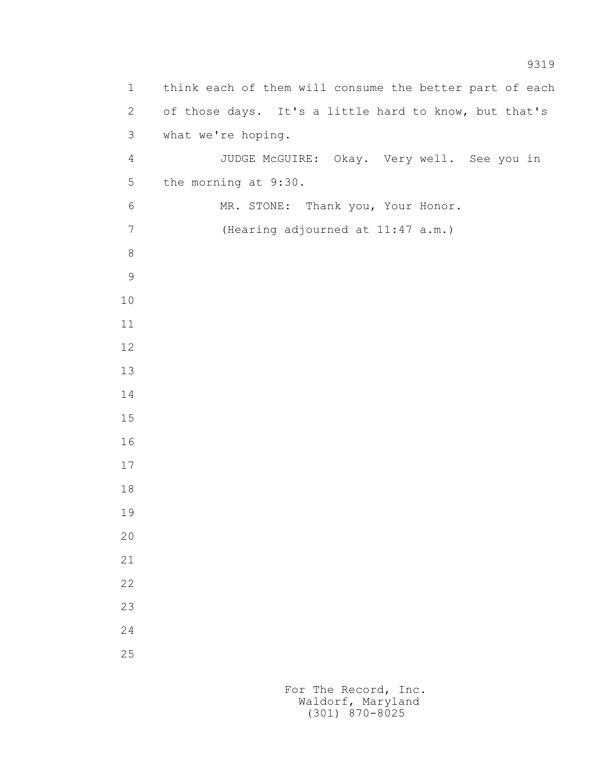1 think each of them will consume the better part of each 2 of those days. It's a little hard to know, but that's 3 what we're hoping. 4 JUDGE McGUIRE: Okay. Very well. See you in 5 the morning at 9:30. 6 MR. STONE: Thank you, Your Honor. 7 (Hearing adjourned at 11:47 a.m.)